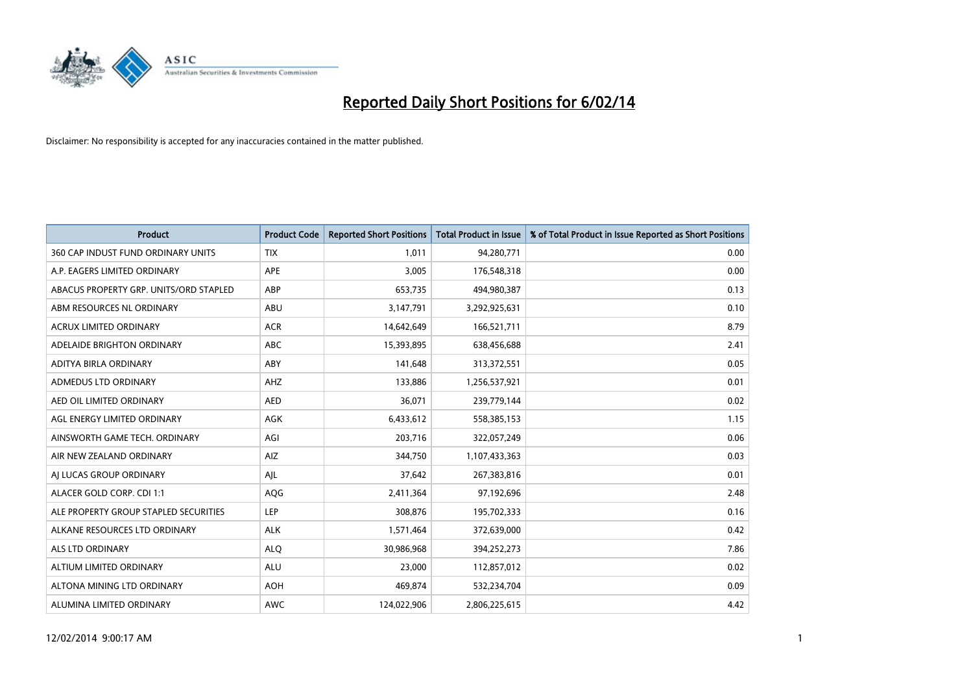

| <b>Product</b>                         | <b>Product Code</b> | <b>Reported Short Positions</b> | <b>Total Product in Issue</b> | % of Total Product in Issue Reported as Short Positions |
|----------------------------------------|---------------------|---------------------------------|-------------------------------|---------------------------------------------------------|
| 360 CAP INDUST FUND ORDINARY UNITS     | <b>TIX</b>          | 1,011                           | 94,280,771                    | 0.00                                                    |
| A.P. EAGERS LIMITED ORDINARY           | APE                 | 3,005                           | 176,548,318                   | 0.00                                                    |
| ABACUS PROPERTY GRP. UNITS/ORD STAPLED | ABP                 | 653,735                         | 494,980,387                   | 0.13                                                    |
| ABM RESOURCES NL ORDINARY              | ABU                 | 3,147,791                       | 3,292,925,631                 | 0.10                                                    |
| <b>ACRUX LIMITED ORDINARY</b>          | <b>ACR</b>          | 14,642,649                      | 166,521,711                   | 8.79                                                    |
| ADELAIDE BRIGHTON ORDINARY             | <b>ABC</b>          | 15,393,895                      | 638,456,688                   | 2.41                                                    |
| ADITYA BIRLA ORDINARY                  | ABY                 | 141,648                         | 313,372,551                   | 0.05                                                    |
| ADMEDUS LTD ORDINARY                   | AHZ                 | 133,886                         | 1,256,537,921                 | 0.01                                                    |
| AED OIL LIMITED ORDINARY               | <b>AED</b>          | 36,071                          | 239,779,144                   | 0.02                                                    |
| AGL ENERGY LIMITED ORDINARY            | <b>AGK</b>          | 6,433,612                       | 558,385,153                   | 1.15                                                    |
| AINSWORTH GAME TECH. ORDINARY          | AGI                 | 203,716                         | 322,057,249                   | 0.06                                                    |
| AIR NEW ZEALAND ORDINARY               | <b>AIZ</b>          | 344,750                         | 1,107,433,363                 | 0.03                                                    |
| AI LUCAS GROUP ORDINARY                | AJL                 | 37,642                          | 267,383,816                   | 0.01                                                    |
| ALACER GOLD CORP. CDI 1:1              | AQG                 | 2,411,364                       | 97,192,696                    | 2.48                                                    |
| ALE PROPERTY GROUP STAPLED SECURITIES  | LEP                 | 308,876                         | 195,702,333                   | 0.16                                                    |
| ALKANE RESOURCES LTD ORDINARY          | <b>ALK</b>          | 1,571,464                       | 372,639,000                   | 0.42                                                    |
| ALS LTD ORDINARY                       | <b>ALQ</b>          | 30,986,968                      | 394,252,273                   | 7.86                                                    |
| ALTIUM LIMITED ORDINARY                | ALU                 | 23,000                          | 112,857,012                   | 0.02                                                    |
| ALTONA MINING LTD ORDINARY             | <b>AOH</b>          | 469,874                         | 532,234,704                   | 0.09                                                    |
| ALUMINA LIMITED ORDINARY               | <b>AWC</b>          | 124,022,906                     | 2,806,225,615                 | 4.42                                                    |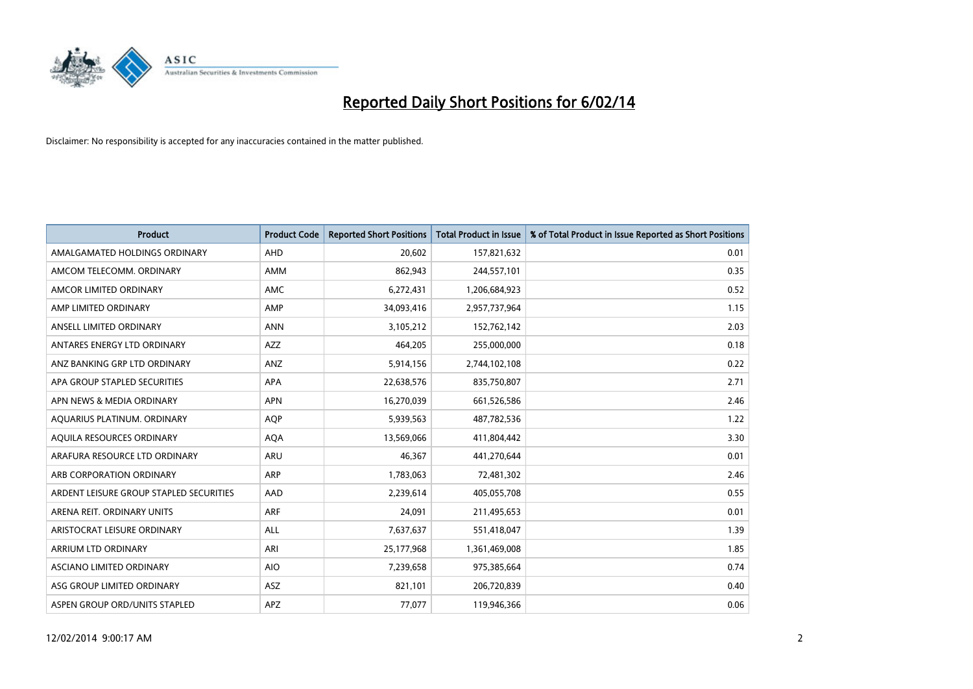

| <b>Product</b>                          | <b>Product Code</b> | <b>Reported Short Positions</b> | <b>Total Product in Issue</b> | % of Total Product in Issue Reported as Short Positions |
|-----------------------------------------|---------------------|---------------------------------|-------------------------------|---------------------------------------------------------|
| AMALGAMATED HOLDINGS ORDINARY           | AHD                 | 20,602                          | 157,821,632                   | 0.01                                                    |
| AMCOM TELECOMM. ORDINARY                | AMM                 | 862,943                         | 244,557,101                   | 0.35                                                    |
| AMCOR LIMITED ORDINARY                  | <b>AMC</b>          | 6,272,431                       | 1,206,684,923                 | 0.52                                                    |
| AMP LIMITED ORDINARY                    | AMP                 | 34,093,416                      | 2,957,737,964                 | 1.15                                                    |
| ANSELL LIMITED ORDINARY                 | <b>ANN</b>          | 3,105,212                       | 152,762,142                   | 2.03                                                    |
| ANTARES ENERGY LTD ORDINARY             | <b>AZZ</b>          | 464,205                         | 255,000,000                   | 0.18                                                    |
| ANZ BANKING GRP LTD ORDINARY            | ANZ                 | 5,914,156                       | 2,744,102,108                 | 0.22                                                    |
| APA GROUP STAPLED SECURITIES            | APA                 | 22,638,576                      | 835,750,807                   | 2.71                                                    |
| APN NEWS & MEDIA ORDINARY               | <b>APN</b>          | 16,270,039                      | 661,526,586                   | 2.46                                                    |
| AQUARIUS PLATINUM. ORDINARY             | <b>AOP</b>          | 5,939,563                       | 487,782,536                   | 1.22                                                    |
| AQUILA RESOURCES ORDINARY               | <b>AQA</b>          | 13,569,066                      | 411,804,442                   | 3.30                                                    |
| ARAFURA RESOURCE LTD ORDINARY           | <b>ARU</b>          | 46,367                          | 441,270,644                   | 0.01                                                    |
| ARB CORPORATION ORDINARY                | ARP                 | 1,783,063                       | 72,481,302                    | 2.46                                                    |
| ARDENT LEISURE GROUP STAPLED SECURITIES | AAD                 | 2,239,614                       | 405,055,708                   | 0.55                                                    |
| ARENA REIT. ORDINARY UNITS              | <b>ARF</b>          | 24,091                          | 211,495,653                   | 0.01                                                    |
| ARISTOCRAT LEISURE ORDINARY             | ALL                 | 7,637,637                       | 551,418,047                   | 1.39                                                    |
| ARRIUM LTD ORDINARY                     | ARI                 | 25,177,968                      | 1,361,469,008                 | 1.85                                                    |
| ASCIANO LIMITED ORDINARY                | <b>AIO</b>          | 7,239,658                       | 975,385,664                   | 0.74                                                    |
| ASG GROUP LIMITED ORDINARY              | ASZ                 | 821,101                         | 206,720,839                   | 0.40                                                    |
| ASPEN GROUP ORD/UNITS STAPLED           | <b>APZ</b>          | 77,077                          | 119,946,366                   | 0.06                                                    |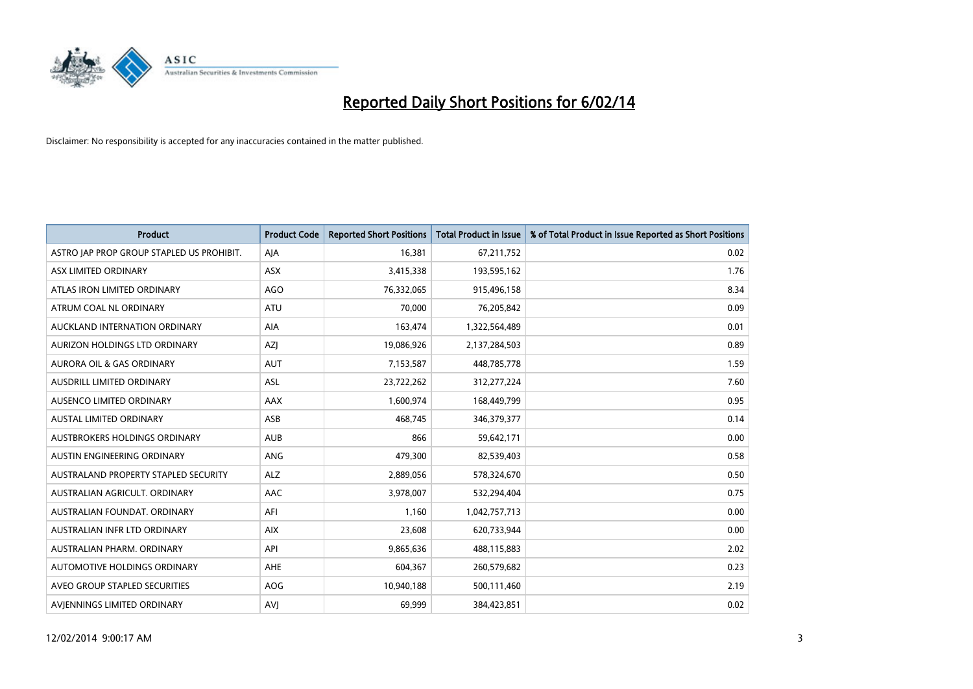

| <b>Product</b>                            | <b>Product Code</b> | <b>Reported Short Positions</b> | <b>Total Product in Issue</b> | % of Total Product in Issue Reported as Short Positions |
|-------------------------------------------|---------------------|---------------------------------|-------------------------------|---------------------------------------------------------|
| ASTRO JAP PROP GROUP STAPLED US PROHIBIT. | AJA                 | 16,381                          | 67,211,752                    | 0.02                                                    |
| ASX LIMITED ORDINARY                      | ASX                 | 3,415,338                       | 193,595,162                   | 1.76                                                    |
| ATLAS IRON LIMITED ORDINARY               | AGO                 | 76,332,065                      | 915,496,158                   | 8.34                                                    |
| ATRUM COAL NL ORDINARY                    | ATU                 | 70,000                          | 76,205,842                    | 0.09                                                    |
| AUCKLAND INTERNATION ORDINARY             | AIA                 | 163,474                         | 1,322,564,489                 | 0.01                                                    |
| AURIZON HOLDINGS LTD ORDINARY             | AZJ                 | 19,086,926                      | 2,137,284,503                 | 0.89                                                    |
| AURORA OIL & GAS ORDINARY                 | <b>AUT</b>          | 7,153,587                       | 448,785,778                   | 1.59                                                    |
| AUSDRILL LIMITED ORDINARY                 | ASL                 | 23,722,262                      | 312,277,224                   | 7.60                                                    |
| AUSENCO LIMITED ORDINARY                  | AAX                 | 1,600,974                       | 168,449,799                   | 0.95                                                    |
| <b>AUSTAL LIMITED ORDINARY</b>            | ASB                 | 468,745                         | 346,379,377                   | 0.14                                                    |
| AUSTBROKERS HOLDINGS ORDINARY             | <b>AUB</b>          | 866                             | 59,642,171                    | 0.00                                                    |
| AUSTIN ENGINEERING ORDINARY               | ANG                 | 479,300                         | 82,539,403                    | 0.58                                                    |
| AUSTRALAND PROPERTY STAPLED SECURITY      | <b>ALZ</b>          | 2,889,056                       | 578,324,670                   | 0.50                                                    |
| AUSTRALIAN AGRICULT, ORDINARY             | AAC                 | 3,978,007                       | 532,294,404                   | 0.75                                                    |
| AUSTRALIAN FOUNDAT, ORDINARY              | AFI                 | 1,160                           | 1,042,757,713                 | 0.00                                                    |
| AUSTRALIAN INFR LTD ORDINARY              | <b>AIX</b>          | 23,608                          | 620,733,944                   | 0.00                                                    |
| AUSTRALIAN PHARM. ORDINARY                | API                 | 9,865,636                       | 488,115,883                   | 2.02                                                    |
| AUTOMOTIVE HOLDINGS ORDINARY              | AHE                 | 604,367                         | 260,579,682                   | 0.23                                                    |
| AVEO GROUP STAPLED SECURITIES             | <b>AOG</b>          | 10,940,188                      | 500,111,460                   | 2.19                                                    |
| AVIENNINGS LIMITED ORDINARY               | <b>AVJ</b>          | 69,999                          | 384,423,851                   | 0.02                                                    |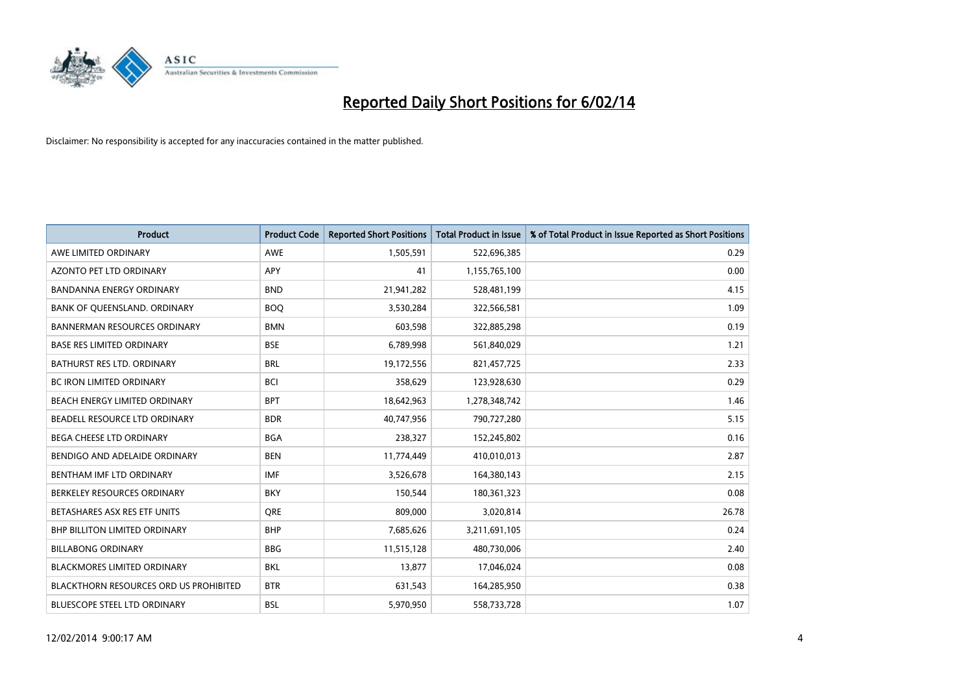

| <b>Product</b>                                | <b>Product Code</b> | <b>Reported Short Positions</b> | <b>Total Product in Issue</b> | % of Total Product in Issue Reported as Short Positions |
|-----------------------------------------------|---------------------|---------------------------------|-------------------------------|---------------------------------------------------------|
| AWE LIMITED ORDINARY                          | <b>AWE</b>          | 1,505,591                       | 522,696,385                   | 0.29                                                    |
| AZONTO PET LTD ORDINARY                       | APY                 | 41                              | 1,155,765,100                 | 0.00                                                    |
| <b>BANDANNA ENERGY ORDINARY</b>               | <b>BND</b>          | 21,941,282                      | 528,481,199                   | 4.15                                                    |
| BANK OF QUEENSLAND. ORDINARY                  | <b>BOO</b>          | 3,530,284                       | 322,566,581                   | 1.09                                                    |
| <b>BANNERMAN RESOURCES ORDINARY</b>           | <b>BMN</b>          | 603,598                         | 322,885,298                   | 0.19                                                    |
| <b>BASE RES LIMITED ORDINARY</b>              | <b>BSE</b>          | 6,789,998                       | 561,840,029                   | 1.21                                                    |
| <b>BATHURST RES LTD. ORDINARY</b>             | <b>BRL</b>          | 19,172,556                      | 821,457,725                   | 2.33                                                    |
| BC IRON LIMITED ORDINARY                      | <b>BCI</b>          | 358,629                         | 123,928,630                   | 0.29                                                    |
| BEACH ENERGY LIMITED ORDINARY                 | <b>BPT</b>          | 18,642,963                      | 1,278,348,742                 | 1.46                                                    |
| BEADELL RESOURCE LTD ORDINARY                 | <b>BDR</b>          | 40,747,956                      | 790,727,280                   | 5.15                                                    |
| BEGA CHEESE LTD ORDINARY                      | <b>BGA</b>          | 238,327                         | 152,245,802                   | 0.16                                                    |
| BENDIGO AND ADELAIDE ORDINARY                 | <b>BEN</b>          | 11,774,449                      | 410,010,013                   | 2.87                                                    |
| BENTHAM IMF LTD ORDINARY                      | <b>IMF</b>          | 3,526,678                       | 164,380,143                   | 2.15                                                    |
| BERKELEY RESOURCES ORDINARY                   | <b>BKY</b>          | 150,544                         | 180,361,323                   | 0.08                                                    |
| BETASHARES ASX RES ETF UNITS                  | <b>ORE</b>          | 809,000                         | 3,020,814                     | 26.78                                                   |
| <b>BHP BILLITON LIMITED ORDINARY</b>          | <b>BHP</b>          | 7,685,626                       | 3,211,691,105                 | 0.24                                                    |
| <b>BILLABONG ORDINARY</b>                     | <b>BBG</b>          | 11,515,128                      | 480,730,006                   | 2.40                                                    |
| <b>BLACKMORES LIMITED ORDINARY</b>            | <b>BKL</b>          | 13,877                          | 17,046,024                    | 0.08                                                    |
| <b>BLACKTHORN RESOURCES ORD US PROHIBITED</b> | <b>BTR</b>          | 631,543                         | 164,285,950                   | 0.38                                                    |
| BLUESCOPE STEEL LTD ORDINARY                  | <b>BSL</b>          | 5,970,950                       | 558,733,728                   | 1.07                                                    |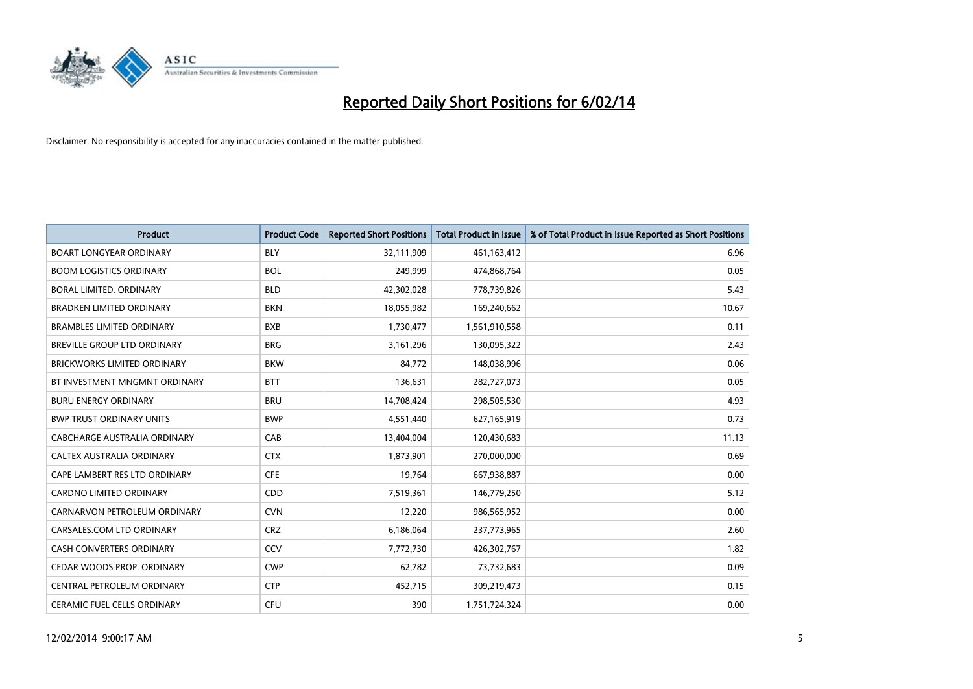

| <b>Product</b>                     | <b>Product Code</b> | <b>Reported Short Positions</b> | <b>Total Product in Issue</b> | % of Total Product in Issue Reported as Short Positions |
|------------------------------------|---------------------|---------------------------------|-------------------------------|---------------------------------------------------------|
| <b>BOART LONGYEAR ORDINARY</b>     | <b>BLY</b>          | 32,111,909                      | 461,163,412                   | 6.96                                                    |
| <b>BOOM LOGISTICS ORDINARY</b>     | <b>BOL</b>          | 249,999                         | 474,868,764                   | 0.05                                                    |
| <b>BORAL LIMITED, ORDINARY</b>     | <b>BLD</b>          | 42,302,028                      | 778,739,826                   | 5.43                                                    |
| <b>BRADKEN LIMITED ORDINARY</b>    | <b>BKN</b>          | 18,055,982                      | 169,240,662                   | 10.67                                                   |
| <b>BRAMBLES LIMITED ORDINARY</b>   | <b>BXB</b>          | 1,730,477                       | 1,561,910,558                 | 0.11                                                    |
| <b>BREVILLE GROUP LTD ORDINARY</b> | <b>BRG</b>          | 3,161,296                       | 130,095,322                   | 2.43                                                    |
| <b>BRICKWORKS LIMITED ORDINARY</b> | <b>BKW</b>          | 84,772                          | 148,038,996                   | 0.06                                                    |
| BT INVESTMENT MNGMNT ORDINARY      | <b>BTT</b>          | 136,631                         | 282,727,073                   | 0.05                                                    |
| <b>BURU ENERGY ORDINARY</b>        | <b>BRU</b>          | 14,708,424                      | 298,505,530                   | 4.93                                                    |
| <b>BWP TRUST ORDINARY UNITS</b>    | <b>BWP</b>          | 4,551,440                       | 627,165,919                   | 0.73                                                    |
| CABCHARGE AUSTRALIA ORDINARY       | CAB                 | 13,404,004                      | 120,430,683                   | 11.13                                                   |
| CALTEX AUSTRALIA ORDINARY          | <b>CTX</b>          | 1,873,901                       | 270,000,000                   | 0.69                                                    |
| CAPE LAMBERT RES LTD ORDINARY      | <b>CFE</b>          | 19,764                          | 667,938,887                   | 0.00                                                    |
| <b>CARDNO LIMITED ORDINARY</b>     | CDD                 | 7,519,361                       | 146,779,250                   | 5.12                                                    |
| CARNARVON PETROLEUM ORDINARY       | <b>CVN</b>          | 12,220                          | 986,565,952                   | 0.00                                                    |
| CARSALES.COM LTD ORDINARY          | <b>CRZ</b>          | 6,186,064                       | 237,773,965                   | 2.60                                                    |
| CASH CONVERTERS ORDINARY           | CCV                 | 7,772,730                       | 426,302,767                   | 1.82                                                    |
| CEDAR WOODS PROP. ORDINARY         | <b>CWP</b>          | 62,782                          | 73,732,683                    | 0.09                                                    |
| CENTRAL PETROLEUM ORDINARY         | <b>CTP</b>          | 452,715                         | 309,219,473                   | 0.15                                                    |
| CERAMIC FUEL CELLS ORDINARY        | <b>CFU</b>          | 390                             | 1,751,724,324                 | 0.00                                                    |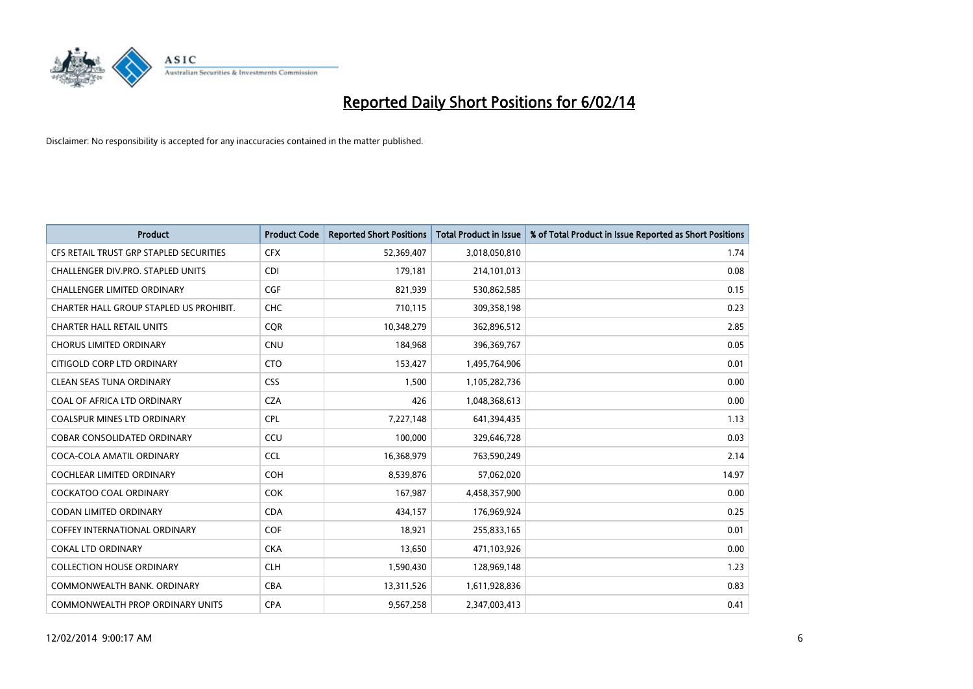

| <b>Product</b>                          | <b>Product Code</b> | <b>Reported Short Positions</b> | <b>Total Product in Issue</b> | % of Total Product in Issue Reported as Short Positions |
|-----------------------------------------|---------------------|---------------------------------|-------------------------------|---------------------------------------------------------|
| CFS RETAIL TRUST GRP STAPLED SECURITIES | <b>CFX</b>          | 52,369,407                      | 3,018,050,810                 | 1.74                                                    |
| CHALLENGER DIV.PRO. STAPLED UNITS       | <b>CDI</b>          | 179,181                         | 214,101,013                   | 0.08                                                    |
| <b>CHALLENGER LIMITED ORDINARY</b>      | <b>CGF</b>          | 821,939                         | 530,862,585                   | 0.15                                                    |
| CHARTER HALL GROUP STAPLED US PROHIBIT. | <b>CHC</b>          | 710,115                         | 309,358,198                   | 0.23                                                    |
| <b>CHARTER HALL RETAIL UNITS</b>        | <b>COR</b>          | 10,348,279                      | 362,896,512                   | 2.85                                                    |
| <b>CHORUS LIMITED ORDINARY</b>          | <b>CNU</b>          | 184,968                         | 396,369,767                   | 0.05                                                    |
| CITIGOLD CORP LTD ORDINARY              | <b>CTO</b>          | 153,427                         | 1,495,764,906                 | 0.01                                                    |
| <b>CLEAN SEAS TUNA ORDINARY</b>         | <b>CSS</b>          | 1,500                           | 1,105,282,736                 | 0.00                                                    |
| COAL OF AFRICA LTD ORDINARY             | <b>CZA</b>          | 426                             | 1,048,368,613                 | 0.00                                                    |
| <b>COALSPUR MINES LTD ORDINARY</b>      | <b>CPL</b>          | 7,227,148                       | 641,394,435                   | 1.13                                                    |
| <b>COBAR CONSOLIDATED ORDINARY</b>      | CCU                 | 100,000                         | 329,646,728                   | 0.03                                                    |
| COCA-COLA AMATIL ORDINARY               | <b>CCL</b>          | 16,368,979                      | 763,590,249                   | 2.14                                                    |
| <b>COCHLEAR LIMITED ORDINARY</b>        | <b>COH</b>          | 8,539,876                       | 57,062,020                    | 14.97                                                   |
| <b>COCKATOO COAL ORDINARY</b>           | <b>COK</b>          | 167,987                         | 4,458,357,900                 | 0.00                                                    |
| CODAN LIMITED ORDINARY                  | <b>CDA</b>          | 434,157                         | 176,969,924                   | 0.25                                                    |
| <b>COFFEY INTERNATIONAL ORDINARY</b>    | <b>COF</b>          | 18,921                          | 255,833,165                   | 0.01                                                    |
| <b>COKAL LTD ORDINARY</b>               | <b>CKA</b>          | 13,650                          | 471,103,926                   | 0.00                                                    |
| <b>COLLECTION HOUSE ORDINARY</b>        | <b>CLH</b>          | 1,590,430                       | 128,969,148                   | 1.23                                                    |
| COMMONWEALTH BANK, ORDINARY             | <b>CBA</b>          | 13,311,526                      | 1,611,928,836                 | 0.83                                                    |
| COMMONWEALTH PROP ORDINARY UNITS        | <b>CPA</b>          | 9,567,258                       | 2,347,003,413                 | 0.41                                                    |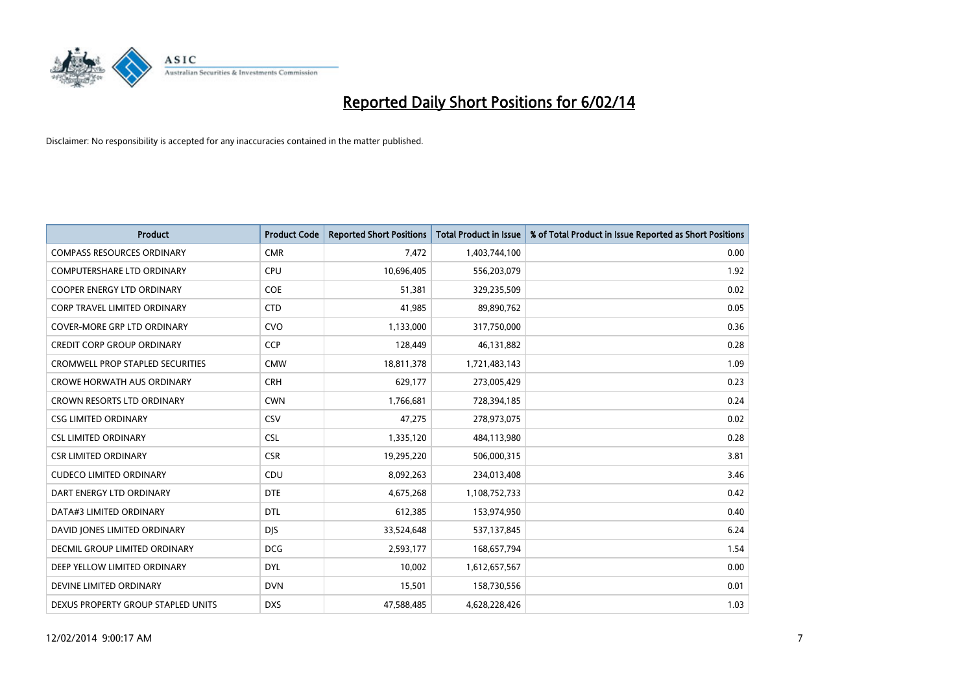

| <b>Product</b>                          | <b>Product Code</b> | <b>Reported Short Positions</b> | <b>Total Product in Issue</b> | % of Total Product in Issue Reported as Short Positions |
|-----------------------------------------|---------------------|---------------------------------|-------------------------------|---------------------------------------------------------|
| <b>COMPASS RESOURCES ORDINARY</b>       | <b>CMR</b>          | 7,472                           | 1,403,744,100                 | 0.00                                                    |
| COMPUTERSHARE LTD ORDINARY              | <b>CPU</b>          | 10,696,405                      | 556,203,079                   | 1.92                                                    |
| <b>COOPER ENERGY LTD ORDINARY</b>       | <b>COE</b>          | 51,381                          | 329,235,509                   | 0.02                                                    |
| CORP TRAVEL LIMITED ORDINARY            | <b>CTD</b>          | 41,985                          | 89,890,762                    | 0.05                                                    |
| <b>COVER-MORE GRP LTD ORDINARY</b>      | <b>CVO</b>          | 1,133,000                       | 317,750,000                   | 0.36                                                    |
| <b>CREDIT CORP GROUP ORDINARY</b>       | <b>CCP</b>          | 128,449                         | 46,131,882                    | 0.28                                                    |
| <b>CROMWELL PROP STAPLED SECURITIES</b> | <b>CMW</b>          | 18,811,378                      | 1,721,483,143                 | 1.09                                                    |
| <b>CROWE HORWATH AUS ORDINARY</b>       | <b>CRH</b>          | 629,177                         | 273,005,429                   | 0.23                                                    |
| CROWN RESORTS LTD ORDINARY              | <b>CWN</b>          | 1,766,681                       | 728,394,185                   | 0.24                                                    |
| <b>CSG LIMITED ORDINARY</b>             | <b>CSV</b>          | 47,275                          | 278,973,075                   | 0.02                                                    |
| <b>CSL LIMITED ORDINARY</b>             | <b>CSL</b>          | 1,335,120                       | 484,113,980                   | 0.28                                                    |
| <b>CSR LIMITED ORDINARY</b>             | <b>CSR</b>          | 19,295,220                      | 506,000,315                   | 3.81                                                    |
| <b>CUDECO LIMITED ORDINARY</b>          | CDU                 | 8,092,263                       | 234,013,408                   | 3.46                                                    |
| DART ENERGY LTD ORDINARY                | <b>DTE</b>          | 4,675,268                       | 1,108,752,733                 | 0.42                                                    |
| DATA#3 LIMITED ORDINARY                 | <b>DTL</b>          | 612,385                         | 153,974,950                   | 0.40                                                    |
| DAVID JONES LIMITED ORDINARY            | <b>DIS</b>          | 33,524,648                      | 537,137,845                   | 6.24                                                    |
| DECMIL GROUP LIMITED ORDINARY           | <b>DCG</b>          | 2,593,177                       | 168,657,794                   | 1.54                                                    |
| DEEP YELLOW LIMITED ORDINARY            | <b>DYL</b>          | 10,002                          | 1,612,657,567                 | 0.00                                                    |
| DEVINE LIMITED ORDINARY                 | <b>DVN</b>          | 15,501                          | 158,730,556                   | 0.01                                                    |
| DEXUS PROPERTY GROUP STAPLED UNITS      | <b>DXS</b>          | 47,588,485                      | 4,628,228,426                 | 1.03                                                    |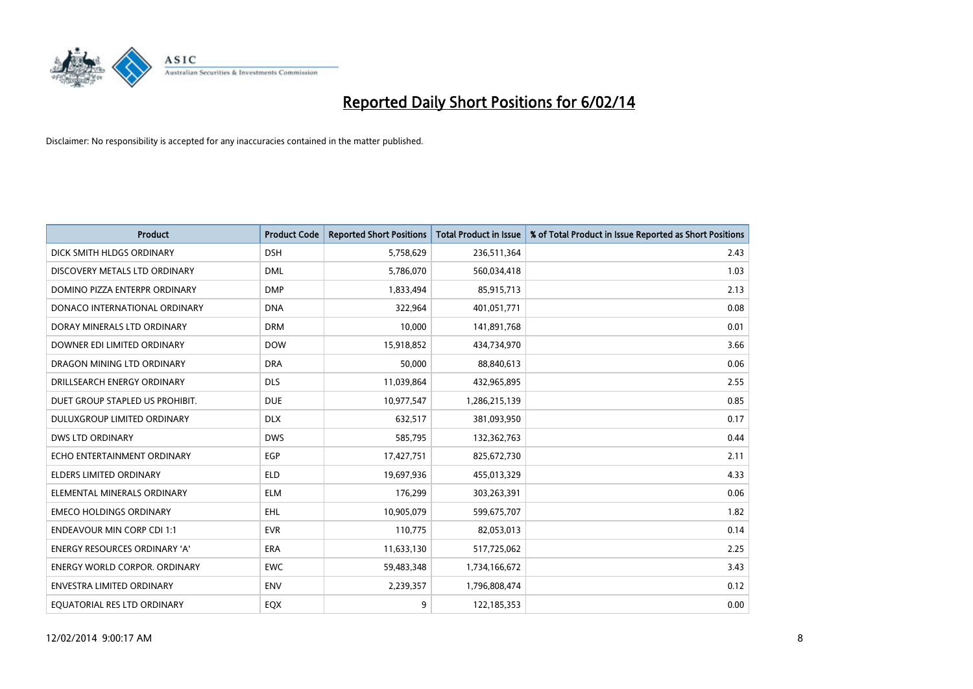

| <b>Product</b>                       | <b>Product Code</b> | <b>Reported Short Positions</b> | <b>Total Product in Issue</b> | % of Total Product in Issue Reported as Short Positions |
|--------------------------------------|---------------------|---------------------------------|-------------------------------|---------------------------------------------------------|
| DICK SMITH HLDGS ORDINARY            | <b>DSH</b>          | 5,758,629                       | 236,511,364                   | 2.43                                                    |
| DISCOVERY METALS LTD ORDINARY        | <b>DML</b>          | 5,786,070                       | 560,034,418                   | 1.03                                                    |
| DOMINO PIZZA ENTERPR ORDINARY        | <b>DMP</b>          | 1,833,494                       | 85,915,713                    | 2.13                                                    |
| DONACO INTERNATIONAL ORDINARY        | <b>DNA</b>          | 322,964                         | 401,051,771                   | 0.08                                                    |
| DORAY MINERALS LTD ORDINARY          | <b>DRM</b>          | 10,000                          | 141,891,768                   | 0.01                                                    |
| DOWNER EDI LIMITED ORDINARY          | <b>DOW</b>          | 15,918,852                      | 434,734,970                   | 3.66                                                    |
| DRAGON MINING LTD ORDINARY           | <b>DRA</b>          | 50,000                          | 88,840,613                    | 0.06                                                    |
| DRILLSEARCH ENERGY ORDINARY          | <b>DLS</b>          | 11,039,864                      | 432,965,895                   | 2.55                                                    |
| DUET GROUP STAPLED US PROHIBIT.      | <b>DUE</b>          | 10,977,547                      | 1,286,215,139                 | 0.85                                                    |
| DULUXGROUP LIMITED ORDINARY          | <b>DLX</b>          | 632,517                         | 381,093,950                   | 0.17                                                    |
| DWS LTD ORDINARY                     | <b>DWS</b>          | 585,795                         | 132,362,763                   | 0.44                                                    |
| ECHO ENTERTAINMENT ORDINARY          | <b>EGP</b>          | 17,427,751                      | 825,672,730                   | 2.11                                                    |
| <b>ELDERS LIMITED ORDINARY</b>       | <b>ELD</b>          | 19,697,936                      | 455,013,329                   | 4.33                                                    |
| ELEMENTAL MINERALS ORDINARY          | <b>ELM</b>          | 176,299                         | 303,263,391                   | 0.06                                                    |
| <b>EMECO HOLDINGS ORDINARY</b>       | <b>EHL</b>          | 10,905,079                      | 599,675,707                   | 1.82                                                    |
| ENDEAVOUR MIN CORP CDI 1:1           | <b>EVR</b>          | 110,775                         | 82,053,013                    | 0.14                                                    |
| ENERGY RESOURCES ORDINARY 'A'        | ERA                 | 11,633,130                      | 517,725,062                   | 2.25                                                    |
| <b>ENERGY WORLD CORPOR. ORDINARY</b> | <b>EWC</b>          | 59,483,348                      | 1,734,166,672                 | 3.43                                                    |
| <b>ENVESTRA LIMITED ORDINARY</b>     | <b>ENV</b>          | 2,239,357                       | 1,796,808,474                 | 0.12                                                    |
| EQUATORIAL RES LTD ORDINARY          | EQX                 | 9                               | 122,185,353                   | 0.00                                                    |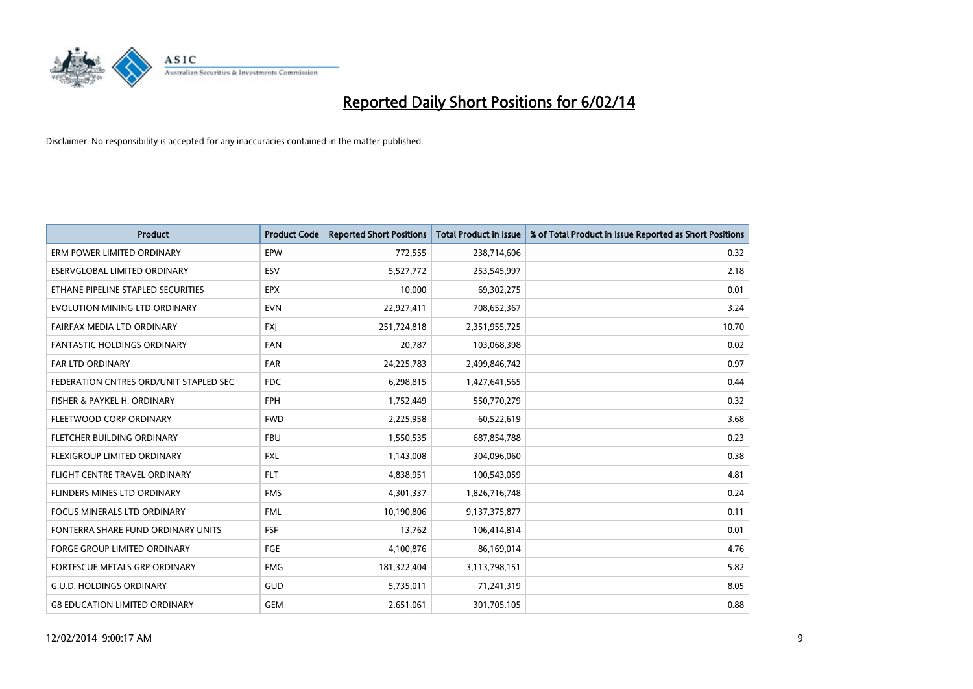

| <b>Product</b>                         | <b>Product Code</b> | <b>Reported Short Positions</b> | <b>Total Product in Issue</b> | % of Total Product in Issue Reported as Short Positions |
|----------------------------------------|---------------------|---------------------------------|-------------------------------|---------------------------------------------------------|
| ERM POWER LIMITED ORDINARY             | EPW                 | 772,555                         | 238,714,606                   | 0.32                                                    |
| ESERVGLOBAL LIMITED ORDINARY           | <b>ESV</b>          | 5,527,772                       | 253,545,997                   | 2.18                                                    |
| ETHANE PIPELINE STAPLED SECURITIES     | <b>EPX</b>          | 10,000                          | 69,302,275                    | 0.01                                                    |
| EVOLUTION MINING LTD ORDINARY          | <b>EVN</b>          | 22,927,411                      | 708,652,367                   | 3.24                                                    |
| FAIRFAX MEDIA LTD ORDINARY             | <b>FXI</b>          | 251,724,818                     | 2,351,955,725                 | 10.70                                                   |
| <b>FANTASTIC HOLDINGS ORDINARY</b>     | FAN                 | 20,787                          | 103,068,398                   | 0.02                                                    |
| <b>FAR LTD ORDINARY</b>                | <b>FAR</b>          | 24,225,783                      | 2,499,846,742                 | 0.97                                                    |
| FEDERATION CNTRES ORD/UNIT STAPLED SEC | <b>FDC</b>          | 6,298,815                       | 1,427,641,565                 | 0.44                                                    |
| FISHER & PAYKEL H. ORDINARY            | <b>FPH</b>          | 1,752,449                       | 550,770,279                   | 0.32                                                    |
| FLEETWOOD CORP ORDINARY                | <b>FWD</b>          | 2,225,958                       | 60,522,619                    | 3.68                                                    |
| FLETCHER BUILDING ORDINARY             | <b>FBU</b>          | 1,550,535                       | 687,854,788                   | 0.23                                                    |
| FLEXIGROUP LIMITED ORDINARY            | FXL                 | 1,143,008                       | 304,096,060                   | 0.38                                                    |
| FLIGHT CENTRE TRAVEL ORDINARY          | <b>FLT</b>          | 4,838,951                       | 100,543,059                   | 4.81                                                    |
| <b>FLINDERS MINES LTD ORDINARY</b>     | <b>FMS</b>          | 4,301,337                       | 1,826,716,748                 | 0.24                                                    |
| <b>FOCUS MINERALS LTD ORDINARY</b>     | <b>FML</b>          | 10,190,806                      | 9,137,375,877                 | 0.11                                                    |
| FONTERRA SHARE FUND ORDINARY UNITS     | <b>FSF</b>          | 13,762                          | 106,414,814                   | 0.01                                                    |
| FORGE GROUP LIMITED ORDINARY           | FGE                 | 4,100,876                       | 86,169,014                    | 4.76                                                    |
| FORTESCUE METALS GRP ORDINARY          | <b>FMG</b>          | 181,322,404                     | 3,113,798,151                 | 5.82                                                    |
| <b>G.U.D. HOLDINGS ORDINARY</b>        | GUD                 | 5,735,011                       | 71,241,319                    | 8.05                                                    |
| <b>G8 EDUCATION LIMITED ORDINARY</b>   | <b>GEM</b>          | 2,651,061                       | 301,705,105                   | 0.88                                                    |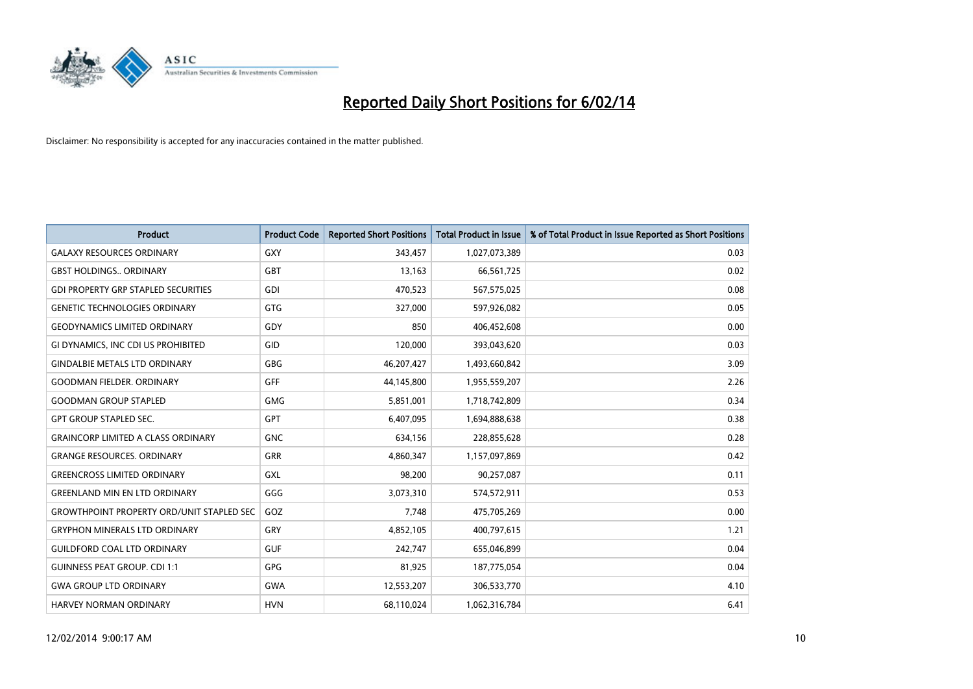

| <b>Product</b>                                   | <b>Product Code</b> | <b>Reported Short Positions</b> | <b>Total Product in Issue</b> | % of Total Product in Issue Reported as Short Positions |
|--------------------------------------------------|---------------------|---------------------------------|-------------------------------|---------------------------------------------------------|
| <b>GALAXY RESOURCES ORDINARY</b>                 | <b>GXY</b>          | 343,457                         | 1,027,073,389                 | 0.03                                                    |
| <b>GBST HOLDINGS ORDINARY</b>                    | <b>GBT</b>          | 13,163                          | 66,561,725                    | 0.02                                                    |
| <b>GDI PROPERTY GRP STAPLED SECURITIES</b>       | <b>GDI</b>          | 470,523                         | 567,575,025                   | 0.08                                                    |
| <b>GENETIC TECHNOLOGIES ORDINARY</b>             | <b>GTG</b>          | 327,000                         | 597,926,082                   | 0.05                                                    |
| <b>GEODYNAMICS LIMITED ORDINARY</b>              | GDY                 | 850                             | 406,452,608                   | 0.00                                                    |
| GI DYNAMICS, INC CDI US PROHIBITED               | GID                 | 120,000                         | 393,043,620                   | 0.03                                                    |
| <b>GINDALBIE METALS LTD ORDINARY</b>             | <b>GBG</b>          | 46,207,427                      | 1,493,660,842                 | 3.09                                                    |
| <b>GOODMAN FIELDER, ORDINARY</b>                 | GFF                 | 44,145,800                      | 1,955,559,207                 | 2.26                                                    |
| <b>GOODMAN GROUP STAPLED</b>                     | <b>GMG</b>          | 5,851,001                       | 1,718,742,809                 | 0.34                                                    |
| <b>GPT GROUP STAPLED SEC.</b>                    | GPT                 | 6,407,095                       | 1,694,888,638                 | 0.38                                                    |
| <b>GRAINCORP LIMITED A CLASS ORDINARY</b>        | <b>GNC</b>          | 634,156                         | 228,855,628                   | 0.28                                                    |
| <b>GRANGE RESOURCES, ORDINARY</b>                | <b>GRR</b>          | 4,860,347                       | 1,157,097,869                 | 0.42                                                    |
| <b>GREENCROSS LIMITED ORDINARY</b>               | GXL                 | 98,200                          | 90,257,087                    | 0.11                                                    |
| <b>GREENLAND MIN EN LTD ORDINARY</b>             | GGG                 | 3,073,310                       | 574,572,911                   | 0.53                                                    |
| <b>GROWTHPOINT PROPERTY ORD/UNIT STAPLED SEC</b> | GOZ                 | 7,748                           | 475,705,269                   | 0.00                                                    |
| <b>GRYPHON MINERALS LTD ORDINARY</b>             | GRY                 | 4,852,105                       | 400,797,615                   | 1.21                                                    |
| <b>GUILDFORD COAL LTD ORDINARY</b>               | <b>GUF</b>          | 242,747                         | 655,046,899                   | 0.04                                                    |
| <b>GUINNESS PEAT GROUP. CDI 1:1</b>              | <b>GPG</b>          | 81,925                          | 187,775,054                   | 0.04                                                    |
| <b>GWA GROUP LTD ORDINARY</b>                    | <b>GWA</b>          | 12,553,207                      | 306,533,770                   | 4.10                                                    |
| <b>HARVEY NORMAN ORDINARY</b>                    | <b>HVN</b>          | 68,110,024                      | 1,062,316,784                 | 6.41                                                    |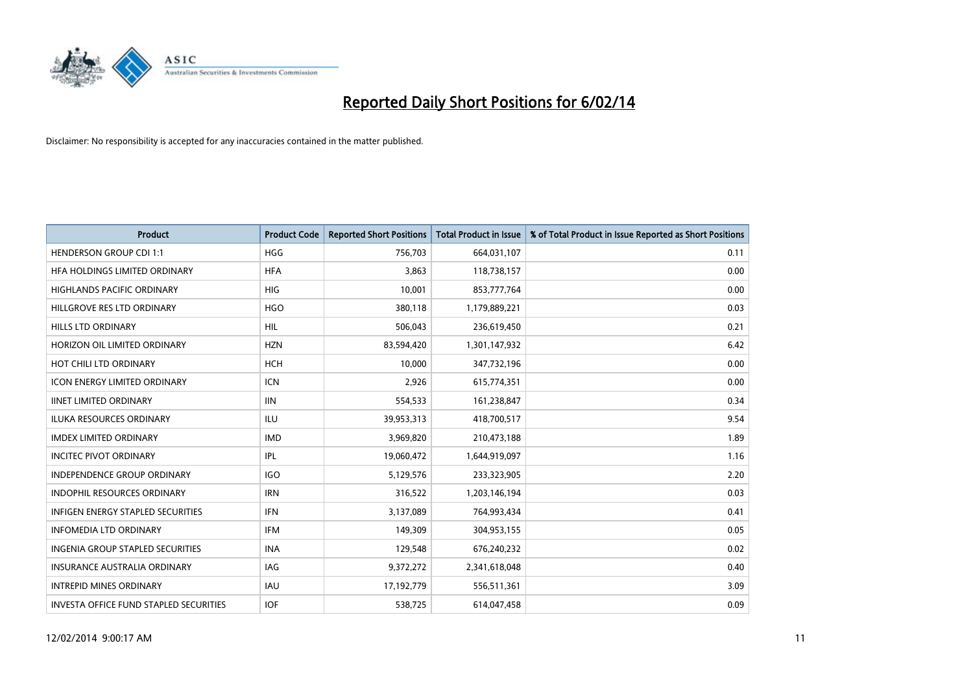

| <b>Product</b>                                | <b>Product Code</b> | <b>Reported Short Positions</b> | <b>Total Product in Issue</b> | % of Total Product in Issue Reported as Short Positions |
|-----------------------------------------------|---------------------|---------------------------------|-------------------------------|---------------------------------------------------------|
| <b>HENDERSON GROUP CDI 1:1</b>                | <b>HGG</b>          | 756,703                         | 664,031,107                   | 0.11                                                    |
| HFA HOLDINGS LIMITED ORDINARY                 | <b>HFA</b>          | 3,863                           | 118,738,157                   | 0.00                                                    |
| <b>HIGHLANDS PACIFIC ORDINARY</b>             | <b>HIG</b>          | 10,001                          | 853,777,764                   | 0.00                                                    |
| HILLGROVE RES LTD ORDINARY                    | <b>HGO</b>          | 380,118                         | 1,179,889,221                 | 0.03                                                    |
| <b>HILLS LTD ORDINARY</b>                     | <b>HIL</b>          | 506,043                         | 236,619,450                   | 0.21                                                    |
| HORIZON OIL LIMITED ORDINARY                  | <b>HZN</b>          | 83,594,420                      | 1,301,147,932                 | 6.42                                                    |
| HOT CHILI LTD ORDINARY                        | <b>HCH</b>          | 10.000                          | 347,732,196                   | 0.00                                                    |
| <b>ICON ENERGY LIMITED ORDINARY</b>           | <b>ICN</b>          | 2,926                           | 615,774,351                   | 0.00                                                    |
| <b>IINET LIMITED ORDINARY</b>                 | <b>IIN</b>          | 554,533                         | 161,238,847                   | 0.34                                                    |
| <b>ILUKA RESOURCES ORDINARY</b>               | ILU                 | 39,953,313                      | 418,700,517                   | 9.54                                                    |
| <b>IMDEX LIMITED ORDINARY</b>                 | <b>IMD</b>          | 3,969,820                       | 210,473,188                   | 1.89                                                    |
| <b>INCITEC PIVOT ORDINARY</b>                 | IPL                 | 19,060,472                      | 1,644,919,097                 | 1.16                                                    |
| <b>INDEPENDENCE GROUP ORDINARY</b>            | <b>IGO</b>          | 5,129,576                       | 233,323,905                   | 2.20                                                    |
| <b>INDOPHIL RESOURCES ORDINARY</b>            | <b>IRN</b>          | 316,522                         | 1,203,146,194                 | 0.03                                                    |
| <b>INFIGEN ENERGY STAPLED SECURITIES</b>      | <b>IFN</b>          | 3,137,089                       | 764,993,434                   | 0.41                                                    |
| <b>INFOMEDIA LTD ORDINARY</b>                 | <b>IFM</b>          | 149,309                         | 304,953,155                   | 0.05                                                    |
| <b>INGENIA GROUP STAPLED SECURITIES</b>       | <b>INA</b>          | 129,548                         | 676,240,232                   | 0.02                                                    |
| <b>INSURANCE AUSTRALIA ORDINARY</b>           | IAG                 | 9,372,272                       | 2,341,618,048                 | 0.40                                                    |
| <b>INTREPID MINES ORDINARY</b>                | <b>IAU</b>          | 17,192,779                      | 556,511,361                   | 3.09                                                    |
| <b>INVESTA OFFICE FUND STAPLED SECURITIES</b> | <b>IOF</b>          | 538,725                         | 614,047,458                   | 0.09                                                    |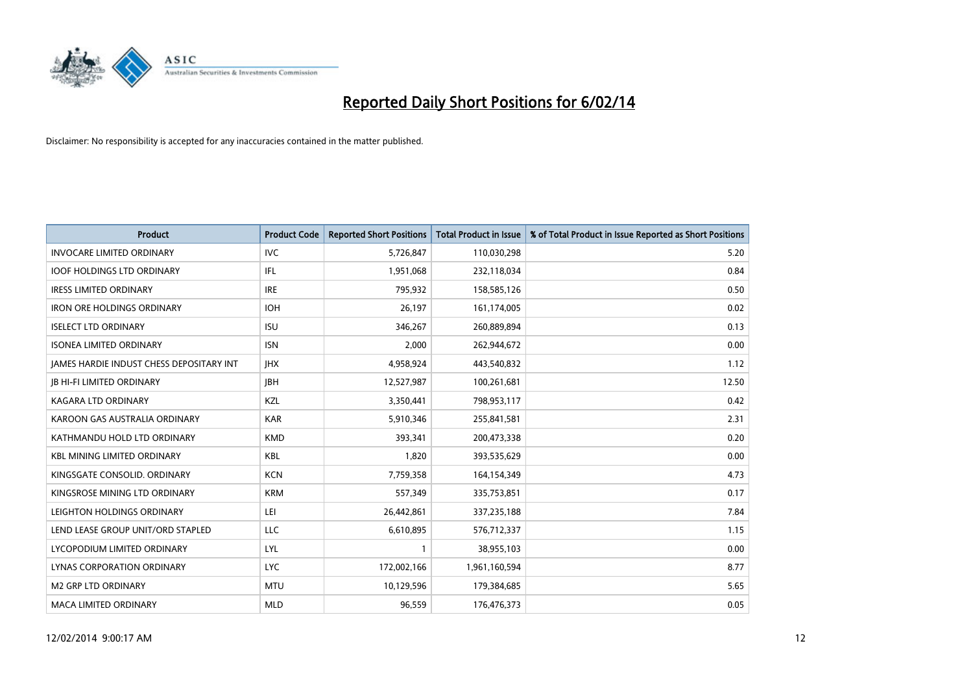

| <b>Product</b>                           | <b>Product Code</b> | <b>Reported Short Positions</b> | <b>Total Product in Issue</b> | % of Total Product in Issue Reported as Short Positions |
|------------------------------------------|---------------------|---------------------------------|-------------------------------|---------------------------------------------------------|
| <b>INVOCARE LIMITED ORDINARY</b>         | <b>IVC</b>          | 5,726,847                       | 110,030,298                   | 5.20                                                    |
| <b>IOOF HOLDINGS LTD ORDINARY</b>        | IFL                 | 1,951,068                       | 232,118,034                   | 0.84                                                    |
| <b>IRESS LIMITED ORDINARY</b>            | <b>IRE</b>          | 795,932                         | 158,585,126                   | 0.50                                                    |
| IRON ORE HOLDINGS ORDINARY               | <b>IOH</b>          | 26,197                          | 161,174,005                   | 0.02                                                    |
| <b>ISELECT LTD ORDINARY</b>              | <b>ISU</b>          | 346,267                         | 260,889,894                   | 0.13                                                    |
| <b>ISONEA LIMITED ORDINARY</b>           | <b>ISN</b>          | 2,000                           | 262,944,672                   | 0.00                                                    |
| JAMES HARDIE INDUST CHESS DEPOSITARY INT | <b>IHX</b>          | 4,958,924                       | 443,540,832                   | 1.12                                                    |
| <b>JB HI-FI LIMITED ORDINARY</b>         | <b>IBH</b>          | 12,527,987                      | 100,261,681                   | 12.50                                                   |
| <b>KAGARA LTD ORDINARY</b>               | KZL                 | 3,350,441                       | 798,953,117                   | 0.42                                                    |
| KAROON GAS AUSTRALIA ORDINARY            | <b>KAR</b>          | 5,910,346                       | 255,841,581                   | 2.31                                                    |
| KATHMANDU HOLD LTD ORDINARY              | <b>KMD</b>          | 393,341                         | 200,473,338                   | 0.20                                                    |
| <b>KBL MINING LIMITED ORDINARY</b>       | <b>KBL</b>          | 1,820                           | 393,535,629                   | 0.00                                                    |
| KINGSGATE CONSOLID. ORDINARY             | <b>KCN</b>          | 7,759,358                       | 164,154,349                   | 4.73                                                    |
| KINGSROSE MINING LTD ORDINARY            | <b>KRM</b>          | 557,349                         | 335,753,851                   | 0.17                                                    |
| LEIGHTON HOLDINGS ORDINARY               | LEI                 | 26,442,861                      | 337,235,188                   | 7.84                                                    |
| LEND LEASE GROUP UNIT/ORD STAPLED        | LLC                 | 6,610,895                       | 576,712,337                   | 1.15                                                    |
| LYCOPODIUM LIMITED ORDINARY              | <b>LYL</b>          | $\mathbf{1}$                    | 38,955,103                    | 0.00                                                    |
| LYNAS CORPORATION ORDINARY               | <b>LYC</b>          | 172,002,166                     | 1,961,160,594                 | 8.77                                                    |
| M2 GRP LTD ORDINARY                      | <b>MTU</b>          | 10,129,596                      | 179,384,685                   | 5.65                                                    |
| <b>MACA LIMITED ORDINARY</b>             | <b>MLD</b>          | 96,559                          | 176,476,373                   | 0.05                                                    |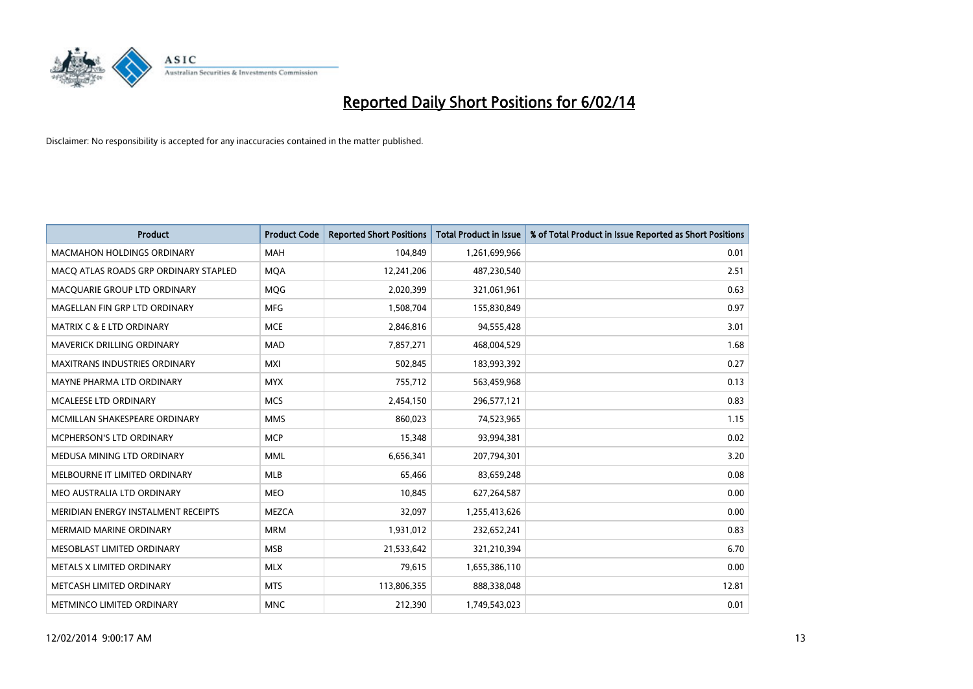

| <b>Product</b>                        | <b>Product Code</b> | <b>Reported Short Positions</b> | <b>Total Product in Issue</b> | % of Total Product in Issue Reported as Short Positions |
|---------------------------------------|---------------------|---------------------------------|-------------------------------|---------------------------------------------------------|
| <b>MACMAHON HOLDINGS ORDINARY</b>     | <b>MAH</b>          | 104,849                         | 1,261,699,966                 | 0.01                                                    |
| MACO ATLAS ROADS GRP ORDINARY STAPLED | <b>MQA</b>          | 12,241,206                      | 487,230,540                   | 2.51                                                    |
| MACQUARIE GROUP LTD ORDINARY          | MQG                 | 2,020,399                       | 321,061,961                   | 0.63                                                    |
| MAGELLAN FIN GRP LTD ORDINARY         | <b>MFG</b>          | 1,508,704                       | 155,830,849                   | 0.97                                                    |
| <b>MATRIX C &amp; E LTD ORDINARY</b>  | <b>MCE</b>          | 2,846,816                       | 94,555,428                    | 3.01                                                    |
| MAVERICK DRILLING ORDINARY            | <b>MAD</b>          | 7,857,271                       | 468,004,529                   | 1.68                                                    |
| <b>MAXITRANS INDUSTRIES ORDINARY</b>  | <b>MXI</b>          | 502,845                         | 183,993,392                   | 0.27                                                    |
| MAYNE PHARMA LTD ORDINARY             | <b>MYX</b>          | 755,712                         | 563,459,968                   | 0.13                                                    |
| <b>MCALEESE LTD ORDINARY</b>          | <b>MCS</b>          | 2,454,150                       | 296,577,121                   | 0.83                                                    |
| MCMILLAN SHAKESPEARE ORDINARY         | <b>MMS</b>          | 860,023                         | 74,523,965                    | 1.15                                                    |
| MCPHERSON'S LTD ORDINARY              | <b>MCP</b>          | 15,348                          | 93,994,381                    | 0.02                                                    |
| MEDUSA MINING LTD ORDINARY            | <b>MML</b>          | 6,656,341                       | 207,794,301                   | 3.20                                                    |
| MELBOURNE IT LIMITED ORDINARY         | <b>MLB</b>          | 65,466                          | 83,659,248                    | 0.08                                                    |
| MEO AUSTRALIA LTD ORDINARY            | <b>MEO</b>          | 10,845                          | 627,264,587                   | 0.00                                                    |
| MERIDIAN ENERGY INSTALMENT RECEIPTS   | <b>MEZCA</b>        | 32,097                          | 1,255,413,626                 | 0.00                                                    |
| <b>MERMAID MARINE ORDINARY</b>        | <b>MRM</b>          | 1,931,012                       | 232,652,241                   | 0.83                                                    |
| MESOBLAST LIMITED ORDINARY            | <b>MSB</b>          | 21,533,642                      | 321,210,394                   | 6.70                                                    |
| METALS X LIMITED ORDINARY             | <b>MLX</b>          | 79.615                          | 1,655,386,110                 | 0.00                                                    |
| METCASH LIMITED ORDINARY              | <b>MTS</b>          | 113,806,355                     | 888,338,048                   | 12.81                                                   |
| METMINCO LIMITED ORDINARY             | <b>MNC</b>          | 212,390                         | 1,749,543,023                 | 0.01                                                    |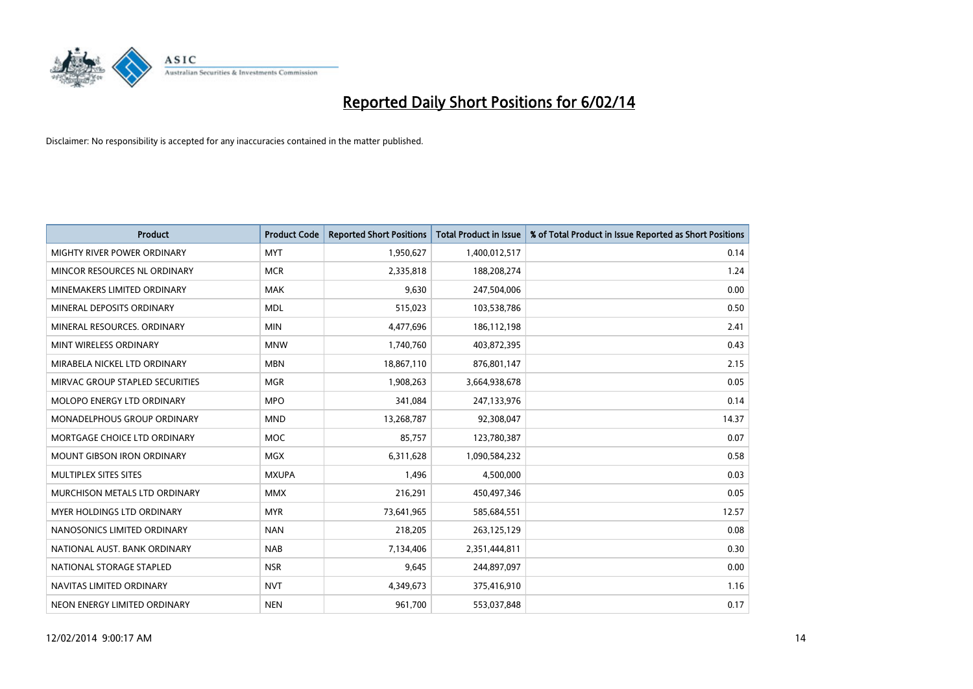

| <b>Product</b>                    | <b>Product Code</b> | <b>Reported Short Positions</b> | <b>Total Product in Issue</b> | % of Total Product in Issue Reported as Short Positions |
|-----------------------------------|---------------------|---------------------------------|-------------------------------|---------------------------------------------------------|
| MIGHTY RIVER POWER ORDINARY       | <b>MYT</b>          | 1,950,627                       | 1,400,012,517                 | 0.14                                                    |
| MINCOR RESOURCES NL ORDINARY      | <b>MCR</b>          | 2,335,818                       | 188,208,274                   | 1.24                                                    |
| MINEMAKERS LIMITED ORDINARY       | <b>MAK</b>          | 9,630                           | 247,504,006                   | 0.00                                                    |
| MINERAL DEPOSITS ORDINARY         | <b>MDL</b>          | 515,023                         | 103,538,786                   | 0.50                                                    |
| MINERAL RESOURCES, ORDINARY       | <b>MIN</b>          | 4,477,696                       | 186,112,198                   | 2.41                                                    |
| MINT WIRELESS ORDINARY            | <b>MNW</b>          | 1,740,760                       | 403,872,395                   | 0.43                                                    |
| MIRABELA NICKEL LTD ORDINARY      | <b>MBN</b>          | 18,867,110                      | 876,801,147                   | 2.15                                                    |
| MIRVAC GROUP STAPLED SECURITIES   | <b>MGR</b>          | 1,908,263                       | 3,664,938,678                 | 0.05                                                    |
| MOLOPO ENERGY LTD ORDINARY        | <b>MPO</b>          | 341,084                         | 247,133,976                   | 0.14                                                    |
| MONADELPHOUS GROUP ORDINARY       | <b>MND</b>          | 13,268,787                      | 92,308,047                    | 14.37                                                   |
| MORTGAGE CHOICE LTD ORDINARY      | MOC                 | 85,757                          | 123,780,387                   | 0.07                                                    |
| <b>MOUNT GIBSON IRON ORDINARY</b> | <b>MGX</b>          | 6,311,628                       | 1,090,584,232                 | 0.58                                                    |
| MULTIPLEX SITES SITES             | <b>MXUPA</b>        | 1,496                           | 4,500,000                     | 0.03                                                    |
| MURCHISON METALS LTD ORDINARY     | <b>MMX</b>          | 216,291                         | 450,497,346                   | 0.05                                                    |
| MYER HOLDINGS LTD ORDINARY        | <b>MYR</b>          | 73,641,965                      | 585,684,551                   | 12.57                                                   |
| NANOSONICS LIMITED ORDINARY       | <b>NAN</b>          | 218,205                         | 263,125,129                   | 0.08                                                    |
| NATIONAL AUST. BANK ORDINARY      | <b>NAB</b>          | 7,134,406                       | 2,351,444,811                 | 0.30                                                    |
| NATIONAL STORAGE STAPLED          | <b>NSR</b>          | 9,645                           | 244,897,097                   | 0.00                                                    |
| NAVITAS LIMITED ORDINARY          | <b>NVT</b>          | 4,349,673                       | 375,416,910                   | 1.16                                                    |
| NEON ENERGY LIMITED ORDINARY      | <b>NEN</b>          | 961,700                         | 553,037,848                   | 0.17                                                    |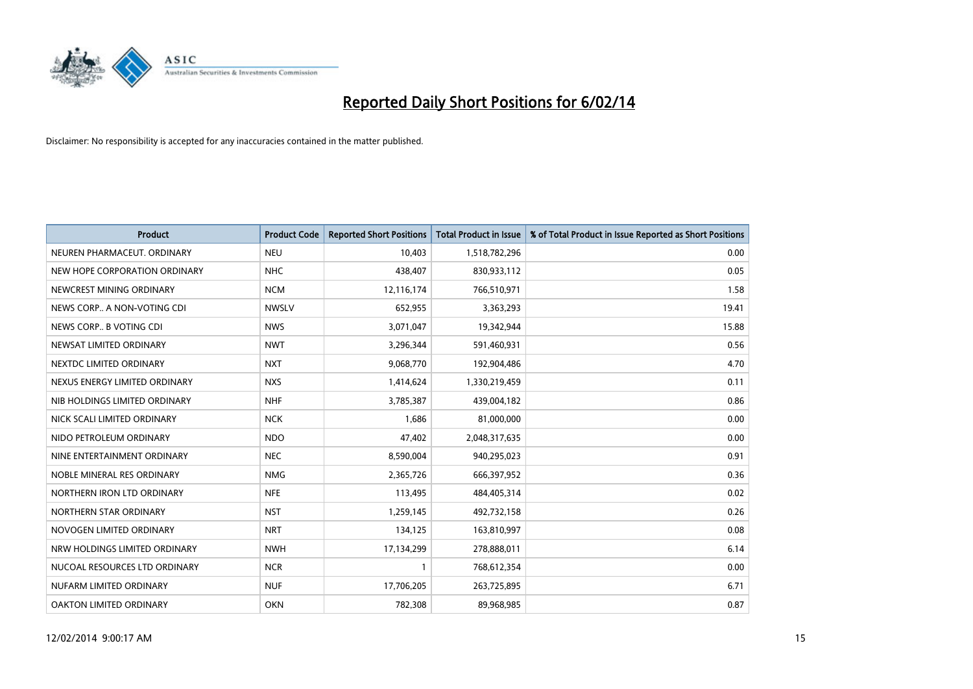

| <b>Product</b>                | <b>Product Code</b> | <b>Reported Short Positions</b> | <b>Total Product in Issue</b> | % of Total Product in Issue Reported as Short Positions |
|-------------------------------|---------------------|---------------------------------|-------------------------------|---------------------------------------------------------|
| NEUREN PHARMACEUT, ORDINARY   | <b>NEU</b>          | 10,403                          | 1,518,782,296                 | 0.00                                                    |
| NEW HOPE CORPORATION ORDINARY | <b>NHC</b>          | 438,407                         | 830,933,112                   | 0.05                                                    |
| NEWCREST MINING ORDINARY      | <b>NCM</b>          | 12,116,174                      | 766,510,971                   | 1.58                                                    |
| NEWS CORP A NON-VOTING CDI    | <b>NWSLV</b>        | 652,955                         | 3,363,293                     | 19.41                                                   |
| NEWS CORP B VOTING CDI        | <b>NWS</b>          | 3,071,047                       | 19,342,944                    | 15.88                                                   |
| NEWSAT LIMITED ORDINARY       | <b>NWT</b>          | 3,296,344                       | 591,460,931                   | 0.56                                                    |
| NEXTDC LIMITED ORDINARY       | <b>NXT</b>          | 9,068,770                       | 192,904,486                   | 4.70                                                    |
| NEXUS ENERGY LIMITED ORDINARY | <b>NXS</b>          | 1,414,624                       | 1,330,219,459                 | 0.11                                                    |
| NIB HOLDINGS LIMITED ORDINARY | <b>NHF</b>          | 3,785,387                       | 439,004,182                   | 0.86                                                    |
| NICK SCALI LIMITED ORDINARY   | <b>NCK</b>          | 1,686                           | 81,000,000                    | 0.00                                                    |
| NIDO PETROLEUM ORDINARY       | <b>NDO</b>          | 47,402                          | 2,048,317,635                 | 0.00                                                    |
| NINE ENTERTAINMENT ORDINARY   | <b>NEC</b>          | 8,590,004                       | 940,295,023                   | 0.91                                                    |
| NOBLE MINERAL RES ORDINARY    | <b>NMG</b>          | 2,365,726                       | 666,397,952                   | 0.36                                                    |
| NORTHERN IRON LTD ORDINARY    | <b>NFE</b>          | 113,495                         | 484,405,314                   | 0.02                                                    |
| NORTHERN STAR ORDINARY        | <b>NST</b>          | 1,259,145                       | 492,732,158                   | 0.26                                                    |
| NOVOGEN LIMITED ORDINARY      | <b>NRT</b>          | 134,125                         | 163,810,997                   | 0.08                                                    |
| NRW HOLDINGS LIMITED ORDINARY | <b>NWH</b>          | 17,134,299                      | 278,888,011                   | 6.14                                                    |
| NUCOAL RESOURCES LTD ORDINARY | <b>NCR</b>          | 1                               | 768,612,354                   | 0.00                                                    |
| NUFARM LIMITED ORDINARY       | <b>NUF</b>          | 17,706,205                      | 263,725,895                   | 6.71                                                    |
| OAKTON LIMITED ORDINARY       | <b>OKN</b>          | 782,308                         | 89,968,985                    | 0.87                                                    |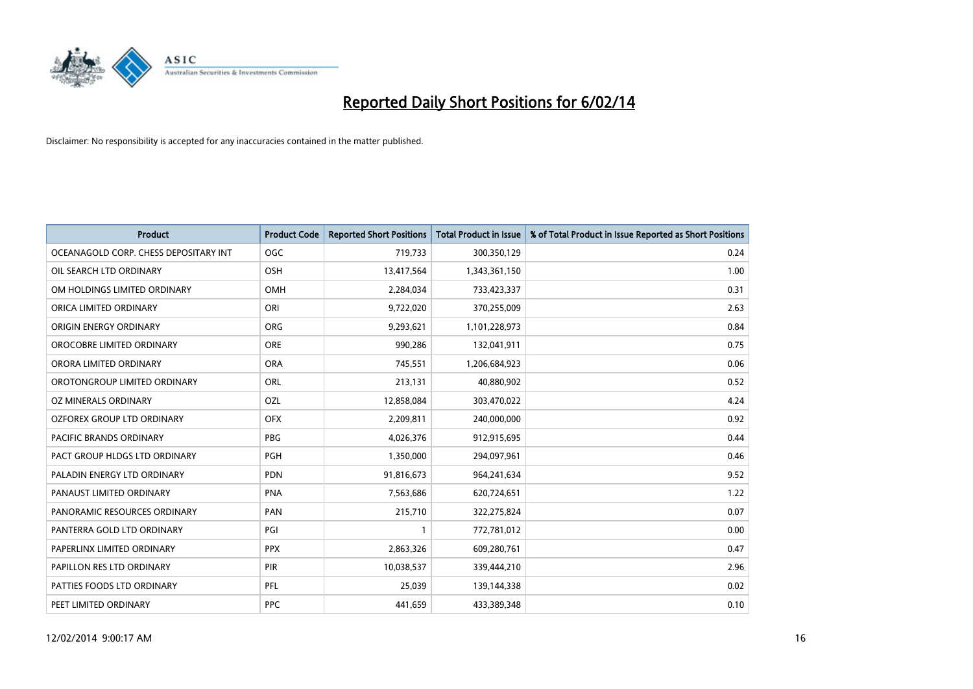

| <b>Product</b>                        | <b>Product Code</b> | <b>Reported Short Positions</b> | <b>Total Product in Issue</b> | % of Total Product in Issue Reported as Short Positions |
|---------------------------------------|---------------------|---------------------------------|-------------------------------|---------------------------------------------------------|
| OCEANAGOLD CORP. CHESS DEPOSITARY INT | <b>OGC</b>          | 719,733                         | 300,350,129                   | 0.24                                                    |
| OIL SEARCH LTD ORDINARY               | OSH                 | 13,417,564                      | 1,343,361,150                 | 1.00                                                    |
| OM HOLDINGS LIMITED ORDINARY          | <b>OMH</b>          | 2,284,034                       | 733,423,337                   | 0.31                                                    |
| ORICA LIMITED ORDINARY                | ORI                 | 9,722,020                       | 370,255,009                   | 2.63                                                    |
| ORIGIN ENERGY ORDINARY                | <b>ORG</b>          | 9,293,621                       | 1,101,228,973                 | 0.84                                                    |
| OROCOBRE LIMITED ORDINARY             | <b>ORE</b>          | 990,286                         | 132,041,911                   | 0.75                                                    |
| ORORA LIMITED ORDINARY                | <b>ORA</b>          | 745,551                         | 1,206,684,923                 | 0.06                                                    |
| OROTONGROUP LIMITED ORDINARY          | ORL                 | 213,131                         | 40,880,902                    | 0.52                                                    |
| OZ MINERALS ORDINARY                  | OZL                 | 12,858,084                      | 303,470,022                   | 4.24                                                    |
| OZFOREX GROUP LTD ORDINARY            | <b>OFX</b>          | 2,209,811                       | 240,000,000                   | 0.92                                                    |
| <b>PACIFIC BRANDS ORDINARY</b>        | <b>PBG</b>          | 4,026,376                       | 912,915,695                   | 0.44                                                    |
| PACT GROUP HLDGS LTD ORDINARY         | PGH                 | 1,350,000                       | 294,097,961                   | 0.46                                                    |
| PALADIN ENERGY LTD ORDINARY           | <b>PDN</b>          | 91,816,673                      | 964,241,634                   | 9.52                                                    |
| PANAUST LIMITED ORDINARY              | <b>PNA</b>          | 7,563,686                       | 620,724,651                   | 1.22                                                    |
| PANORAMIC RESOURCES ORDINARY          | PAN                 | 215,710                         | 322,275,824                   | 0.07                                                    |
| PANTERRA GOLD LTD ORDINARY            | PGI                 |                                 | 772,781,012                   | 0.00                                                    |
| PAPERLINX LIMITED ORDINARY            | <b>PPX</b>          | 2,863,326                       | 609,280,761                   | 0.47                                                    |
| PAPILLON RES LTD ORDINARY             | <b>PIR</b>          | 10,038,537                      | 339,444,210                   | 2.96                                                    |
| PATTIES FOODS LTD ORDINARY            | PFL                 | 25,039                          | 139,144,338                   | 0.02                                                    |
| PEET LIMITED ORDINARY                 | <b>PPC</b>          | 441,659                         | 433,389,348                   | 0.10                                                    |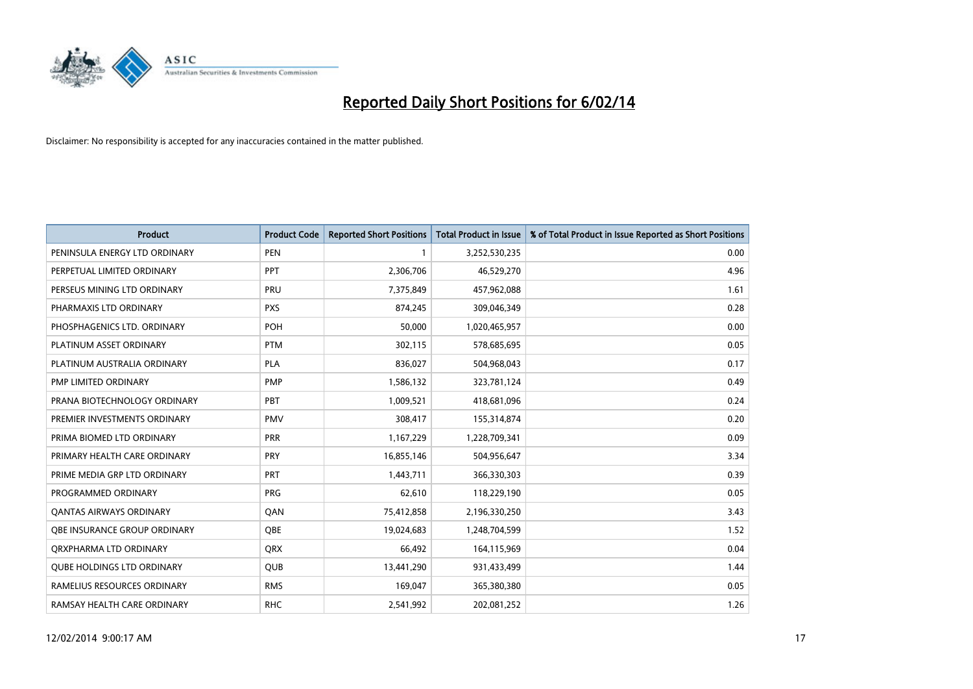

| <b>Product</b>                      | <b>Product Code</b> | <b>Reported Short Positions</b> | <b>Total Product in Issue</b> | % of Total Product in Issue Reported as Short Positions |
|-------------------------------------|---------------------|---------------------------------|-------------------------------|---------------------------------------------------------|
| PENINSULA ENERGY LTD ORDINARY       | <b>PEN</b>          | 1                               | 3,252,530,235                 | 0.00                                                    |
| PERPETUAL LIMITED ORDINARY          | <b>PPT</b>          | 2,306,706                       | 46,529,270                    | 4.96                                                    |
| PERSEUS MINING LTD ORDINARY         | <b>PRU</b>          | 7,375,849                       | 457,962,088                   | 1.61                                                    |
| PHARMAXIS LTD ORDINARY              | <b>PXS</b>          | 874,245                         | 309,046,349                   | 0.28                                                    |
| PHOSPHAGENICS LTD. ORDINARY         | <b>POH</b>          | 50,000                          | 1,020,465,957                 | 0.00                                                    |
| PLATINUM ASSET ORDINARY             | <b>PTM</b>          | 302,115                         | 578,685,695                   | 0.05                                                    |
| PLATINUM AUSTRALIA ORDINARY         | PLA                 | 836,027                         | 504,968,043                   | 0.17                                                    |
| PMP LIMITED ORDINARY                | <b>PMP</b>          | 1,586,132                       | 323,781,124                   | 0.49                                                    |
| PRANA BIOTECHNOLOGY ORDINARY        | PBT                 | 1,009,521                       | 418,681,096                   | 0.24                                                    |
| PREMIER INVESTMENTS ORDINARY        | <b>PMV</b>          | 308,417                         | 155,314,874                   | 0.20                                                    |
| PRIMA BIOMED LTD ORDINARY           | <b>PRR</b>          | 1,167,229                       | 1,228,709,341                 | 0.09                                                    |
| PRIMARY HEALTH CARE ORDINARY        | <b>PRY</b>          | 16,855,146                      | 504,956,647                   | 3.34                                                    |
| PRIME MEDIA GRP LTD ORDINARY        | <b>PRT</b>          | 1,443,711                       | 366,330,303                   | 0.39                                                    |
| PROGRAMMED ORDINARY                 | <b>PRG</b>          | 62,610                          | 118,229,190                   | 0.05                                                    |
| <b>QANTAS AIRWAYS ORDINARY</b>      | QAN                 | 75,412,858                      | 2,196,330,250                 | 3.43                                                    |
| <b>OBE INSURANCE GROUP ORDINARY</b> | QBE                 | 19,024,683                      | 1,248,704,599                 | 1.52                                                    |
| ORXPHARMA LTD ORDINARY              | QRX                 | 66,492                          | 164,115,969                   | 0.04                                                    |
| <b>QUBE HOLDINGS LTD ORDINARY</b>   | QUB                 | 13,441,290                      | 931,433,499                   | 1.44                                                    |
| RAMELIUS RESOURCES ORDINARY         | <b>RMS</b>          | 169,047                         | 365,380,380                   | 0.05                                                    |
| RAMSAY HEALTH CARE ORDINARY         | <b>RHC</b>          | 2,541,992                       | 202,081,252                   | 1.26                                                    |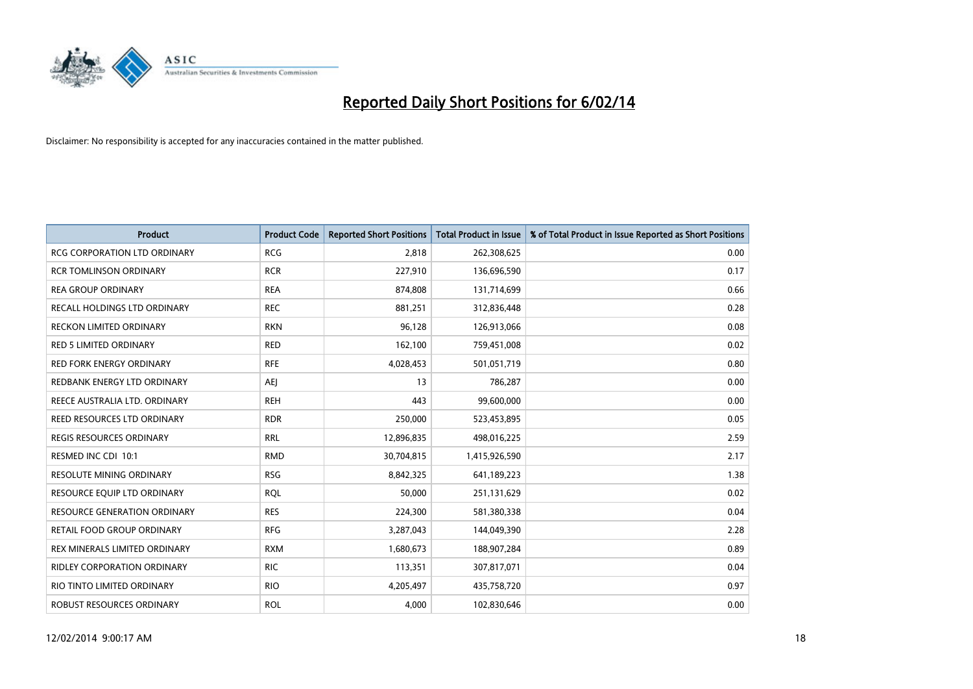

| <b>Product</b>                      | <b>Product Code</b> | <b>Reported Short Positions</b> | <b>Total Product in Issue</b> | % of Total Product in Issue Reported as Short Positions |
|-------------------------------------|---------------------|---------------------------------|-------------------------------|---------------------------------------------------------|
| <b>RCG CORPORATION LTD ORDINARY</b> | <b>RCG</b>          | 2,818                           | 262,308,625                   | 0.00                                                    |
| <b>RCR TOMLINSON ORDINARY</b>       | <b>RCR</b>          | 227,910                         | 136,696,590                   | 0.17                                                    |
| <b>REA GROUP ORDINARY</b>           | <b>REA</b>          | 874,808                         | 131,714,699                   | 0.66                                                    |
| RECALL HOLDINGS LTD ORDINARY        | <b>REC</b>          | 881,251                         | 312,836,448                   | 0.28                                                    |
| <b>RECKON LIMITED ORDINARY</b>      | <b>RKN</b>          | 96,128                          | 126,913,066                   | 0.08                                                    |
| RED 5 LIMITED ORDINARY              | <b>RED</b>          | 162,100                         | 759,451,008                   | 0.02                                                    |
| RED FORK ENERGY ORDINARY            | <b>RFE</b>          | 4,028,453                       | 501,051,719                   | 0.80                                                    |
| REDBANK ENERGY LTD ORDINARY         | <b>AEJ</b>          | 13                              | 786,287                       | 0.00                                                    |
| REECE AUSTRALIA LTD. ORDINARY       | <b>REH</b>          | 443                             | 99,600,000                    | 0.00                                                    |
| REED RESOURCES LTD ORDINARY         | <b>RDR</b>          | 250,000                         | 523,453,895                   | 0.05                                                    |
| <b>REGIS RESOURCES ORDINARY</b>     | <b>RRL</b>          | 12,896,835                      | 498,016,225                   | 2.59                                                    |
| RESMED INC CDI 10:1                 | <b>RMD</b>          | 30,704,815                      | 1,415,926,590                 | 2.17                                                    |
| RESOLUTE MINING ORDINARY            | <b>RSG</b>          | 8,842,325                       | 641,189,223                   | 1.38                                                    |
| RESOURCE EQUIP LTD ORDINARY         | <b>RQL</b>          | 50,000                          | 251,131,629                   | 0.02                                                    |
| <b>RESOURCE GENERATION ORDINARY</b> | <b>RES</b>          | 224,300                         | 581,380,338                   | 0.04                                                    |
| RETAIL FOOD GROUP ORDINARY          | <b>RFG</b>          | 3,287,043                       | 144,049,390                   | 2.28                                                    |
| REX MINERALS LIMITED ORDINARY       | <b>RXM</b>          | 1,680,673                       | 188,907,284                   | 0.89                                                    |
| RIDLEY CORPORATION ORDINARY         | <b>RIC</b>          | 113,351                         | 307,817,071                   | 0.04                                                    |
| RIO TINTO LIMITED ORDINARY          | <b>RIO</b>          | 4,205,497                       | 435,758,720                   | 0.97                                                    |
| ROBUST RESOURCES ORDINARY           | <b>ROL</b>          | 4,000                           | 102,830,646                   | 0.00                                                    |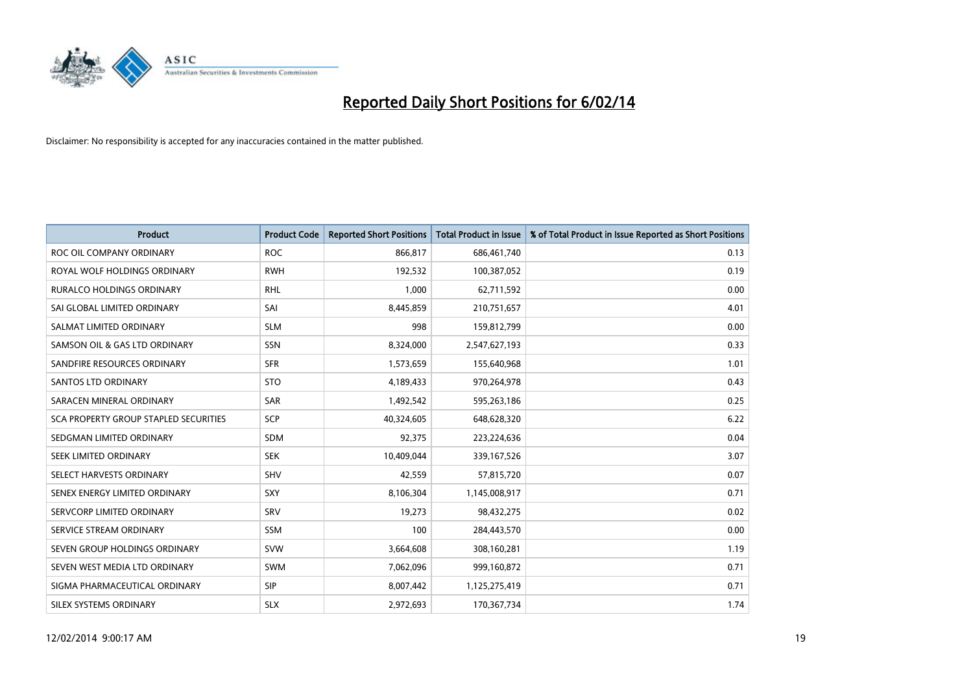

| <b>Product</b>                        | <b>Product Code</b> | <b>Reported Short Positions</b> | <b>Total Product in Issue</b> | % of Total Product in Issue Reported as Short Positions |
|---------------------------------------|---------------------|---------------------------------|-------------------------------|---------------------------------------------------------|
| ROC OIL COMPANY ORDINARY              | <b>ROC</b>          | 866,817                         | 686,461,740                   | 0.13                                                    |
| ROYAL WOLF HOLDINGS ORDINARY          | <b>RWH</b>          | 192,532                         | 100,387,052                   | 0.19                                                    |
| RURALCO HOLDINGS ORDINARY             | <b>RHL</b>          | 1,000                           | 62,711,592                    | 0.00                                                    |
| SAI GLOBAL LIMITED ORDINARY           | SAI                 | 8,445,859                       | 210,751,657                   | 4.01                                                    |
| SALMAT LIMITED ORDINARY               | <b>SLM</b>          | 998                             | 159,812,799                   | 0.00                                                    |
| SAMSON OIL & GAS LTD ORDINARY         | SSN                 | 8,324,000                       | 2,547,627,193                 | 0.33                                                    |
| SANDFIRE RESOURCES ORDINARY           | <b>SFR</b>          | 1,573,659                       | 155,640,968                   | 1.01                                                    |
| <b>SANTOS LTD ORDINARY</b>            | <b>STO</b>          | 4,189,433                       | 970,264,978                   | 0.43                                                    |
| SARACEN MINERAL ORDINARY              | SAR                 | 1,492,542                       | 595,263,186                   | 0.25                                                    |
| SCA PROPERTY GROUP STAPLED SECURITIES | <b>SCP</b>          | 40,324,605                      | 648,628,320                   | 6.22                                                    |
| SEDGMAN LIMITED ORDINARY              | <b>SDM</b>          | 92,375                          | 223,224,636                   | 0.04                                                    |
| SEEK LIMITED ORDINARY                 | <b>SEK</b>          | 10,409,044                      | 339,167,526                   | 3.07                                                    |
| SELECT HARVESTS ORDINARY              | SHV                 | 42,559                          | 57,815,720                    | 0.07                                                    |
| SENEX ENERGY LIMITED ORDINARY         | <b>SXY</b>          | 8,106,304                       | 1,145,008,917                 | 0.71                                                    |
| SERVCORP LIMITED ORDINARY             | SRV                 | 19,273                          | 98,432,275                    | 0.02                                                    |
| SERVICE STREAM ORDINARY               | SSM                 | 100                             | 284,443,570                   | 0.00                                                    |
| SEVEN GROUP HOLDINGS ORDINARY         | <b>SVW</b>          | 3,664,608                       | 308,160,281                   | 1.19                                                    |
| SEVEN WEST MEDIA LTD ORDINARY         | <b>SWM</b>          | 7,062,096                       | 999,160,872                   | 0.71                                                    |
| SIGMA PHARMACEUTICAL ORDINARY         | <b>SIP</b>          | 8,007,442                       | 1,125,275,419                 | 0.71                                                    |
| SILEX SYSTEMS ORDINARY                | <b>SLX</b>          | 2,972,693                       | 170,367,734                   | 1.74                                                    |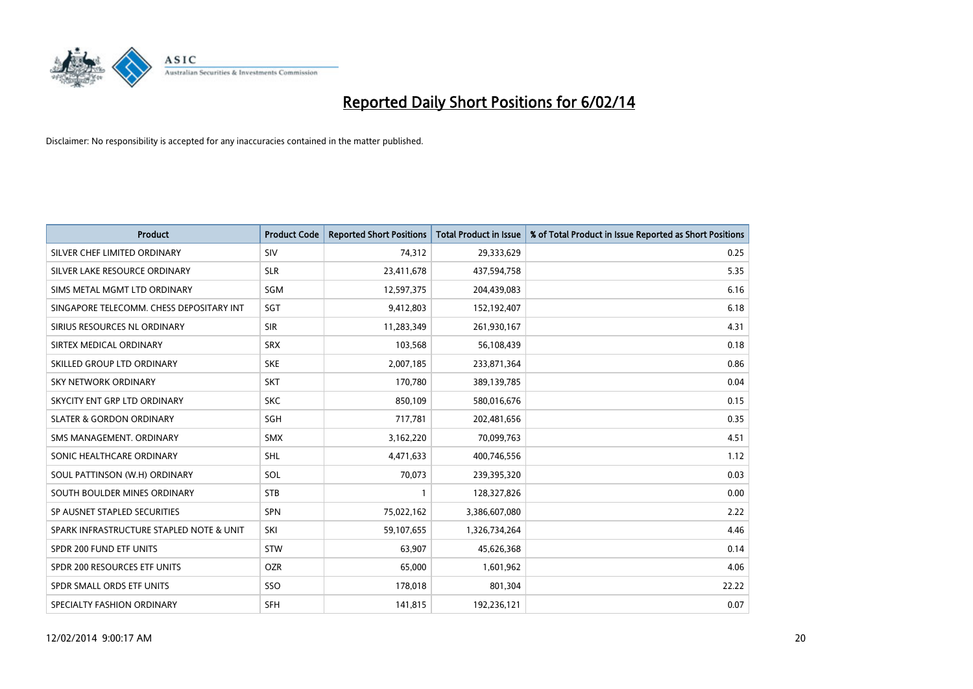

| <b>Product</b>                           | <b>Product Code</b> | <b>Reported Short Positions</b> | <b>Total Product in Issue</b> | % of Total Product in Issue Reported as Short Positions |
|------------------------------------------|---------------------|---------------------------------|-------------------------------|---------------------------------------------------------|
| SILVER CHEF LIMITED ORDINARY             | SIV                 | 74,312                          | 29,333,629                    | 0.25                                                    |
| SILVER LAKE RESOURCE ORDINARY            | <b>SLR</b>          | 23,411,678                      | 437,594,758                   | 5.35                                                    |
| SIMS METAL MGMT LTD ORDINARY             | SGM                 | 12,597,375                      | 204,439,083                   | 6.16                                                    |
| SINGAPORE TELECOMM. CHESS DEPOSITARY INT | SGT                 | 9,412,803                       | 152,192,407                   | 6.18                                                    |
| SIRIUS RESOURCES NL ORDINARY             | <b>SIR</b>          | 11,283,349                      | 261,930,167                   | 4.31                                                    |
| SIRTEX MEDICAL ORDINARY                  | <b>SRX</b>          | 103,568                         | 56,108,439                    | 0.18                                                    |
| SKILLED GROUP LTD ORDINARY               | <b>SKE</b>          | 2,007,185                       | 233,871,364                   | 0.86                                                    |
| SKY NETWORK ORDINARY                     | <b>SKT</b>          | 170,780                         | 389,139,785                   | 0.04                                                    |
| SKYCITY ENT GRP LTD ORDINARY             | <b>SKC</b>          | 850,109                         | 580,016,676                   | 0.15                                                    |
| <b>SLATER &amp; GORDON ORDINARY</b>      | SGH                 | 717,781                         | 202,481,656                   | 0.35                                                    |
| SMS MANAGEMENT. ORDINARY                 | <b>SMX</b>          | 3,162,220                       | 70,099,763                    | 4.51                                                    |
| SONIC HEALTHCARE ORDINARY                | <b>SHL</b>          | 4,471,633                       | 400,746,556                   | 1.12                                                    |
| SOUL PATTINSON (W.H) ORDINARY            | SOL                 | 70,073                          | 239,395,320                   | 0.03                                                    |
| SOUTH BOULDER MINES ORDINARY             | <b>STB</b>          | 1                               | 128,327,826                   | 0.00                                                    |
| SP AUSNET STAPLED SECURITIES             | <b>SPN</b>          | 75,022,162                      | 3,386,607,080                 | 2.22                                                    |
| SPARK INFRASTRUCTURE STAPLED NOTE & UNIT | SKI                 | 59,107,655                      | 1,326,734,264                 | 4.46                                                    |
| SPDR 200 FUND ETF UNITS                  | <b>STW</b>          | 63,907                          | 45,626,368                    | 0.14                                                    |
| SPDR 200 RESOURCES ETF UNITS             | <b>OZR</b>          | 65,000                          | 1,601,962                     | 4.06                                                    |
| SPDR SMALL ORDS ETF UNITS                | SSO                 | 178,018                         | 801,304                       | 22.22                                                   |
| SPECIALTY FASHION ORDINARY               | <b>SFH</b>          | 141,815                         | 192,236,121                   | 0.07                                                    |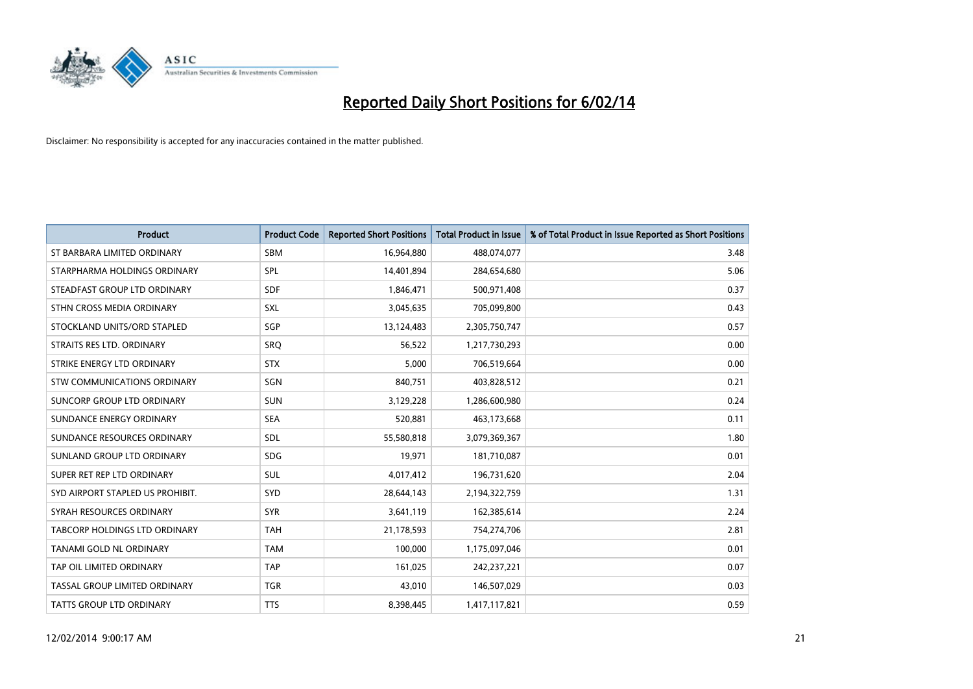

| <b>Product</b>                   | <b>Product Code</b> | <b>Reported Short Positions</b> | <b>Total Product in Issue</b> | % of Total Product in Issue Reported as Short Positions |
|----------------------------------|---------------------|---------------------------------|-------------------------------|---------------------------------------------------------|
| ST BARBARA LIMITED ORDINARY      | <b>SBM</b>          | 16,964,880                      | 488,074,077                   | 3.48                                                    |
| STARPHARMA HOLDINGS ORDINARY     | SPL                 | 14,401,894                      | 284,654,680                   | 5.06                                                    |
| STEADFAST GROUP LTD ORDINARY     | <b>SDF</b>          | 1,846,471                       | 500,971,408                   | 0.37                                                    |
| STHN CROSS MEDIA ORDINARY        | SXL                 | 3,045,635                       | 705,099,800                   | 0.43                                                    |
| STOCKLAND UNITS/ORD STAPLED      | SGP                 | 13,124,483                      | 2,305,750,747                 | 0.57                                                    |
| STRAITS RES LTD. ORDINARY        | SRQ                 | 56,522                          | 1,217,730,293                 | 0.00                                                    |
| STRIKE ENERGY LTD ORDINARY       | <b>STX</b>          | 5,000                           | 706,519,664                   | 0.00                                                    |
| STW COMMUNICATIONS ORDINARY      | SGN                 | 840,751                         | 403,828,512                   | 0.21                                                    |
| SUNCORP GROUP LTD ORDINARY       | <b>SUN</b>          | 3,129,228                       | 1,286,600,980                 | 0.24                                                    |
| SUNDANCE ENERGY ORDINARY         | <b>SEA</b>          | 520,881                         | 463,173,668                   | 0.11                                                    |
| SUNDANCE RESOURCES ORDINARY      | <b>SDL</b>          | 55,580,818                      | 3,079,369,367                 | 1.80                                                    |
| SUNLAND GROUP LTD ORDINARY       | <b>SDG</b>          | 19,971                          | 181,710,087                   | 0.01                                                    |
| SUPER RET REP LTD ORDINARY       | <b>SUL</b>          | 4,017,412                       | 196,731,620                   | 2.04                                                    |
| SYD AIRPORT STAPLED US PROHIBIT. | SYD                 | 28,644,143                      | 2,194,322,759                 | 1.31                                                    |
| SYRAH RESOURCES ORDINARY         | <b>SYR</b>          | 3,641,119                       | 162,385,614                   | 2.24                                                    |
| TABCORP HOLDINGS LTD ORDINARY    | <b>TAH</b>          | 21,178,593                      | 754,274,706                   | 2.81                                                    |
| TANAMI GOLD NL ORDINARY          | <b>TAM</b>          | 100,000                         | 1,175,097,046                 | 0.01                                                    |
| TAP OIL LIMITED ORDINARY         | <b>TAP</b>          | 161,025                         | 242,237,221                   | 0.07                                                    |
| TASSAL GROUP LIMITED ORDINARY    | <b>TGR</b>          | 43,010                          | 146,507,029                   | 0.03                                                    |
| <b>TATTS GROUP LTD ORDINARY</b>  | <b>TTS</b>          | 8,398,445                       | 1,417,117,821                 | 0.59                                                    |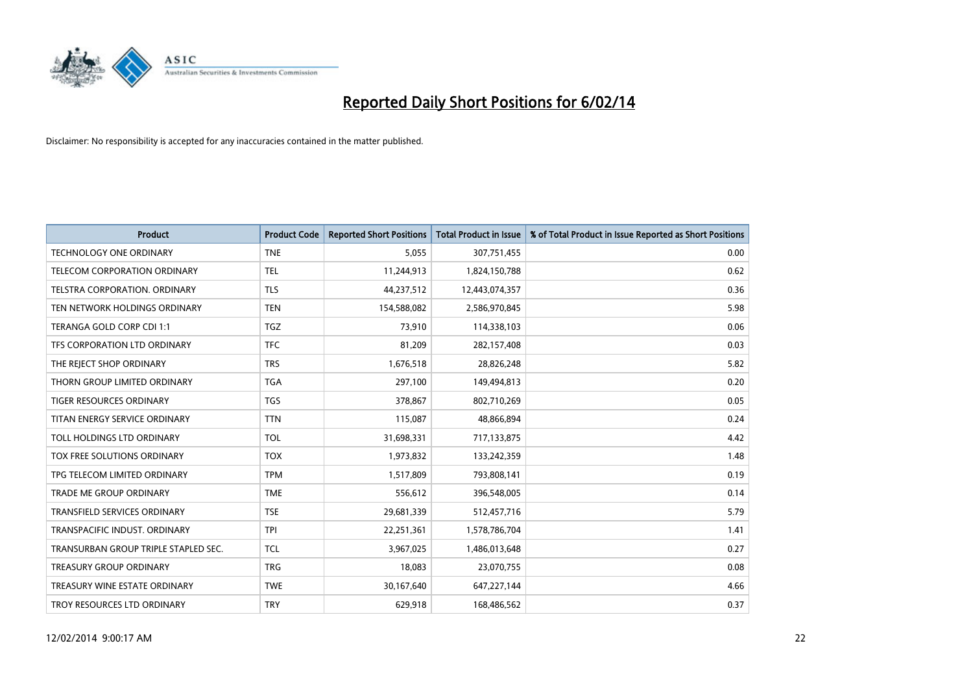

| <b>Product</b>                       | <b>Product Code</b> | <b>Reported Short Positions</b> | <b>Total Product in Issue</b> | % of Total Product in Issue Reported as Short Positions |
|--------------------------------------|---------------------|---------------------------------|-------------------------------|---------------------------------------------------------|
| <b>TECHNOLOGY ONE ORDINARY</b>       | <b>TNE</b>          | 5,055                           | 307,751,455                   | 0.00                                                    |
| TELECOM CORPORATION ORDINARY         | <b>TEL</b>          | 11,244,913                      | 1,824,150,788                 | 0.62                                                    |
| TELSTRA CORPORATION, ORDINARY        | <b>TLS</b>          | 44,237,512                      | 12,443,074,357                | 0.36                                                    |
| TEN NETWORK HOLDINGS ORDINARY        | <b>TEN</b>          | 154,588,082                     | 2,586,970,845                 | 5.98                                                    |
| TERANGA GOLD CORP CDI 1:1            | TGZ                 | 73,910                          | 114,338,103                   | 0.06                                                    |
| TFS CORPORATION LTD ORDINARY         | <b>TFC</b>          | 81,209                          | 282,157,408                   | 0.03                                                    |
| THE REJECT SHOP ORDINARY             | <b>TRS</b>          | 1,676,518                       | 28,826,248                    | 5.82                                                    |
| THORN GROUP LIMITED ORDINARY         | <b>TGA</b>          | 297,100                         | 149,494,813                   | 0.20                                                    |
| <b>TIGER RESOURCES ORDINARY</b>      | <b>TGS</b>          | 378,867                         | 802,710,269                   | 0.05                                                    |
| TITAN ENERGY SERVICE ORDINARY        | <b>TTN</b>          | 115,087                         | 48,866,894                    | 0.24                                                    |
| TOLL HOLDINGS LTD ORDINARY           | <b>TOL</b>          | 31,698,331                      | 717,133,875                   | 4.42                                                    |
| TOX FREE SOLUTIONS ORDINARY          | <b>TOX</b>          | 1,973,832                       | 133,242,359                   | 1.48                                                    |
| TPG TELECOM LIMITED ORDINARY         | <b>TPM</b>          | 1,517,809                       | 793,808,141                   | 0.19                                                    |
| <b>TRADE ME GROUP ORDINARY</b>       | <b>TME</b>          | 556,612                         | 396,548,005                   | 0.14                                                    |
| <b>TRANSFIELD SERVICES ORDINARY</b>  | <b>TSE</b>          | 29,681,339                      | 512,457,716                   | 5.79                                                    |
| TRANSPACIFIC INDUST. ORDINARY        | <b>TPI</b>          | 22,251,361                      | 1,578,786,704                 | 1.41                                                    |
| TRANSURBAN GROUP TRIPLE STAPLED SEC. | <b>TCL</b>          | 3,967,025                       | 1,486,013,648                 | 0.27                                                    |
| TREASURY GROUP ORDINARY              | <b>TRG</b>          | 18,083                          | 23,070,755                    | 0.08                                                    |
| TREASURY WINE ESTATE ORDINARY        | <b>TWE</b>          | 30,167,640                      | 647,227,144                   | 4.66                                                    |
| TROY RESOURCES LTD ORDINARY          | <b>TRY</b>          | 629,918                         | 168,486,562                   | 0.37                                                    |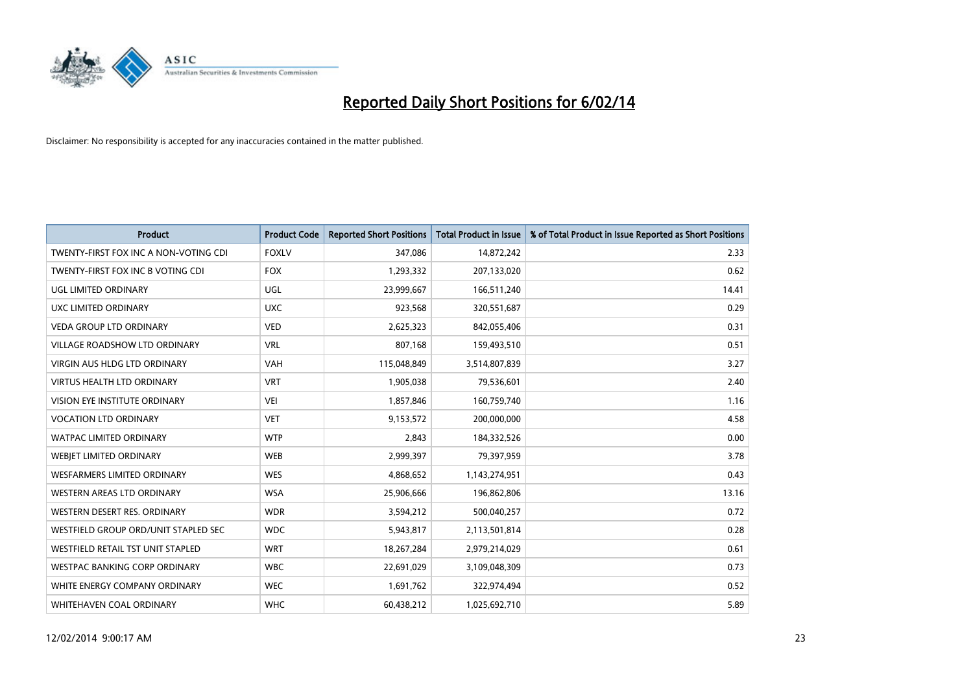

| <b>Product</b>                        | <b>Product Code</b> | <b>Reported Short Positions</b> | <b>Total Product in Issue</b> | % of Total Product in Issue Reported as Short Positions |
|---------------------------------------|---------------------|---------------------------------|-------------------------------|---------------------------------------------------------|
| TWENTY-FIRST FOX INC A NON-VOTING CDI | <b>FOXLV</b>        | 347,086                         | 14,872,242                    | 2.33                                                    |
| TWENTY-FIRST FOX INC B VOTING CDI     | <b>FOX</b>          | 1,293,332                       | 207,133,020                   | 0.62                                                    |
| UGL LIMITED ORDINARY                  | UGL                 | 23,999,667                      | 166,511,240                   | 14.41                                                   |
| UXC LIMITED ORDINARY                  | <b>UXC</b>          | 923,568                         | 320,551,687                   | 0.29                                                    |
| <b>VEDA GROUP LTD ORDINARY</b>        | <b>VED</b>          | 2,625,323                       | 842,055,406                   | 0.31                                                    |
| <b>VILLAGE ROADSHOW LTD ORDINARY</b>  | <b>VRL</b>          | 807,168                         | 159,493,510                   | 0.51                                                    |
| <b>VIRGIN AUS HLDG LTD ORDINARY</b>   | <b>VAH</b>          | 115,048,849                     | 3,514,807,839                 | 3.27                                                    |
| <b>VIRTUS HEALTH LTD ORDINARY</b>     | <b>VRT</b>          | 1,905,038                       | 79,536,601                    | 2.40                                                    |
| VISION EYE INSTITUTE ORDINARY         | <b>VEI</b>          | 1,857,846                       | 160,759,740                   | 1.16                                                    |
| <b>VOCATION LTD ORDINARY</b>          | <b>VET</b>          | 9,153,572                       | 200,000,000                   | 4.58                                                    |
| WATPAC LIMITED ORDINARY               | <b>WTP</b>          | 2,843                           | 184,332,526                   | 0.00                                                    |
| WEBIET LIMITED ORDINARY               | <b>WEB</b>          | 2,999,397                       | 79,397,959                    | 3.78                                                    |
| <b>WESFARMERS LIMITED ORDINARY</b>    | <b>WES</b>          | 4,868,652                       | 1,143,274,951                 | 0.43                                                    |
| WESTERN AREAS LTD ORDINARY            | <b>WSA</b>          | 25,906,666                      | 196,862,806                   | 13.16                                                   |
| WESTERN DESERT RES. ORDINARY          | <b>WDR</b>          | 3,594,212                       | 500,040,257                   | 0.72                                                    |
| WESTFIELD GROUP ORD/UNIT STAPLED SEC  | <b>WDC</b>          | 5,943,817                       | 2,113,501,814                 | 0.28                                                    |
| WESTFIELD RETAIL TST UNIT STAPLED     | <b>WRT</b>          | 18,267,284                      | 2,979,214,029                 | 0.61                                                    |
| <b>WESTPAC BANKING CORP ORDINARY</b>  | <b>WBC</b>          | 22,691,029                      | 3,109,048,309                 | 0.73                                                    |
| WHITE ENERGY COMPANY ORDINARY         | <b>WEC</b>          | 1,691,762                       | 322,974,494                   | 0.52                                                    |
| WHITEHAVEN COAL ORDINARY              | <b>WHC</b>          | 60,438,212                      | 1,025,692,710                 | 5.89                                                    |